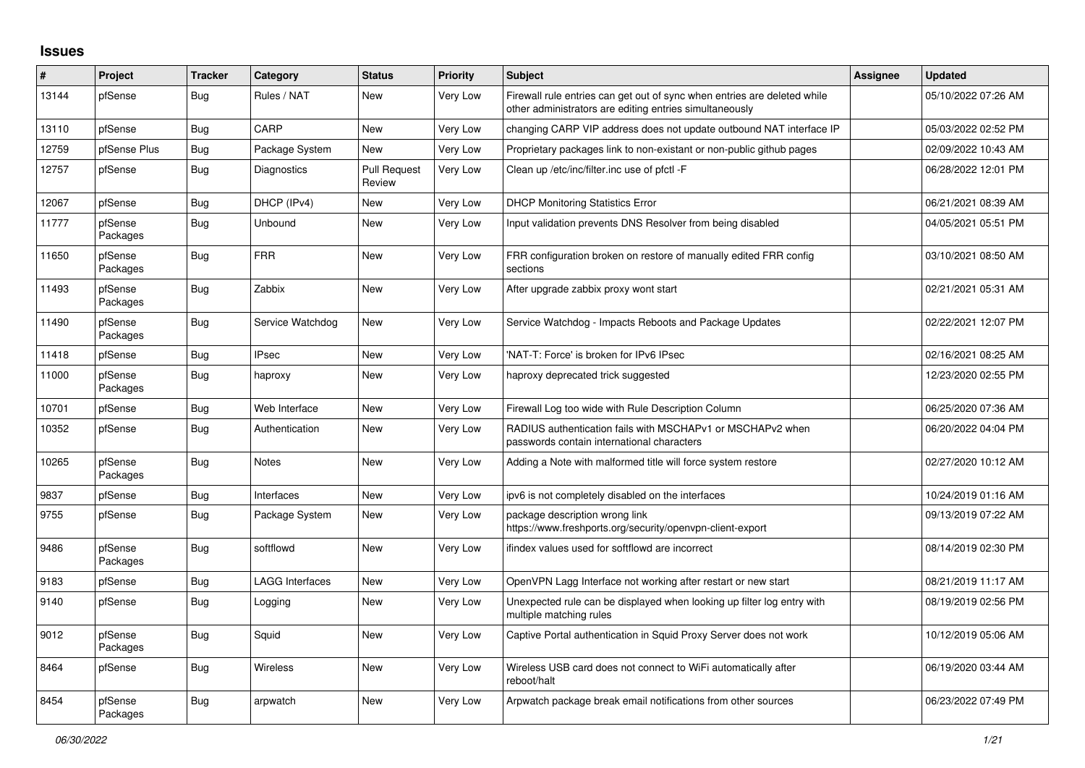## **Issues**

| ∦     | Project             | <b>Tracker</b> | Category               | <b>Status</b>                 | <b>Priority</b> | <b>Subject</b>                                                                                                                      | <b>Assignee</b> | <b>Updated</b>      |
|-------|---------------------|----------------|------------------------|-------------------------------|-----------------|-------------------------------------------------------------------------------------------------------------------------------------|-----------------|---------------------|
| 13144 | pfSense             | Bug            | Rules / NAT            | <b>New</b>                    | Very Low        | Firewall rule entries can get out of sync when entries are deleted while<br>other administrators are editing entries simultaneously |                 | 05/10/2022 07:26 AM |
| 13110 | pfSense             | Bug            | CARP                   | <b>New</b>                    | Very Low        | changing CARP VIP address does not update outbound NAT interface IP                                                                 |                 | 05/03/2022 02:52 PM |
| 12759 | pfSense Plus        | Bug            | Package System         | <b>New</b>                    | Very Low        | Proprietary packages link to non-existant or non-public github pages                                                                |                 | 02/09/2022 10:43 AM |
| 12757 | pfSense             | Bug            | Diagnostics            | <b>Pull Request</b><br>Review | Very Low        | Clean up /etc/inc/filter.inc use of pfctl -F                                                                                        |                 | 06/28/2022 12:01 PM |
| 12067 | pfSense             | Bug            | DHCP (IPv4)            | <b>New</b>                    | Very Low        | <b>DHCP Monitoring Statistics Error</b>                                                                                             |                 | 06/21/2021 08:39 AM |
| 11777 | pfSense<br>Packages | Bug            | Unbound                | <b>New</b>                    | Very Low        | Input validation prevents DNS Resolver from being disabled                                                                          |                 | 04/05/2021 05:51 PM |
| 11650 | pfSense<br>Packages | Bug            | <b>FRR</b>             | <b>New</b>                    | Very Low        | FRR configuration broken on restore of manually edited FRR config<br>sections                                                       |                 | 03/10/2021 08:50 AM |
| 11493 | pfSense<br>Packages | <b>Bug</b>     | Zabbix                 | <b>New</b>                    | Very Low        | After upgrade zabbix proxy wont start                                                                                               |                 | 02/21/2021 05:31 AM |
| 11490 | pfSense<br>Packages | <b>Bug</b>     | Service Watchdog       | <b>New</b>                    | Very Low        | Service Watchdog - Impacts Reboots and Package Updates                                                                              |                 | 02/22/2021 12:07 PM |
| 11418 | pfSense             | <b>Bug</b>     | <b>IPsec</b>           | <b>New</b>                    | Very Low        | 'NAT-T: Force' is broken for IPv6 IPsec                                                                                             |                 | 02/16/2021 08:25 AM |
| 11000 | pfSense<br>Packages | <b>Bug</b>     | haproxy                | <b>New</b>                    | Very Low        | haproxy deprecated trick suggested                                                                                                  |                 | 12/23/2020 02:55 PM |
| 10701 | pfSense             | Bug            | Web Interface          | <b>New</b>                    | Very Low        | Firewall Log too wide with Rule Description Column                                                                                  |                 | 06/25/2020 07:36 AM |
| 10352 | pfSense             | <b>Bug</b>     | Authentication         | <b>New</b>                    | Very Low        | RADIUS authentication fails with MSCHAPv1 or MSCHAPv2 when<br>passwords contain international characters                            |                 | 06/20/2022 04:04 PM |
| 10265 | pfSense<br>Packages | <b>Bug</b>     | <b>Notes</b>           | <b>New</b>                    | Very Low        | Adding a Note with malformed title will force system restore                                                                        |                 | 02/27/2020 10:12 AM |
| 9837  | pfSense             | Bug            | Interfaces             | <b>New</b>                    | Very Low        | ipv6 is not completely disabled on the interfaces                                                                                   |                 | 10/24/2019 01:16 AM |
| 9755  | pfSense             | Bug            | Package System         | <b>New</b>                    | Very Low        | package description wrong link<br>https://www.freshports.org/security/openvpn-client-export                                         |                 | 09/13/2019 07:22 AM |
| 9486  | pfSense<br>Packages | Bug            | softflowd              | <b>New</b>                    | Very Low        | ifindex values used for softflowd are incorrect                                                                                     |                 | 08/14/2019 02:30 PM |
| 9183  | pfSense             | <b>Bug</b>     | <b>LAGG Interfaces</b> | <b>New</b>                    | Very Low        | OpenVPN Lagg Interface not working after restart or new start                                                                       |                 | 08/21/2019 11:17 AM |
| 9140  | pfSense             | <b>Bug</b>     | Logging                | <b>New</b>                    | Very Low        | Unexpected rule can be displayed when looking up filter log entry with<br>multiple matching rules                                   |                 | 08/19/2019 02:56 PM |
| 9012  | pfSense<br>Packages | <b>Bug</b>     | Squid                  | New                           | Very Low        | Captive Portal authentication in Squid Proxy Server does not work                                                                   |                 | 10/12/2019 05:06 AM |
| 8464  | pfSense             | Bug            | <b>Wireless</b>        | New                           | Very Low        | Wireless USB card does not connect to WiFi automatically after<br>reboot/halt                                                       |                 | 06/19/2020 03:44 AM |
| 8454  | pfSense<br>Packages | Bug            | arpwatch               | <b>New</b>                    | Very Low        | Arpwatch package break email notifications from other sources                                                                       |                 | 06/23/2022 07:49 PM |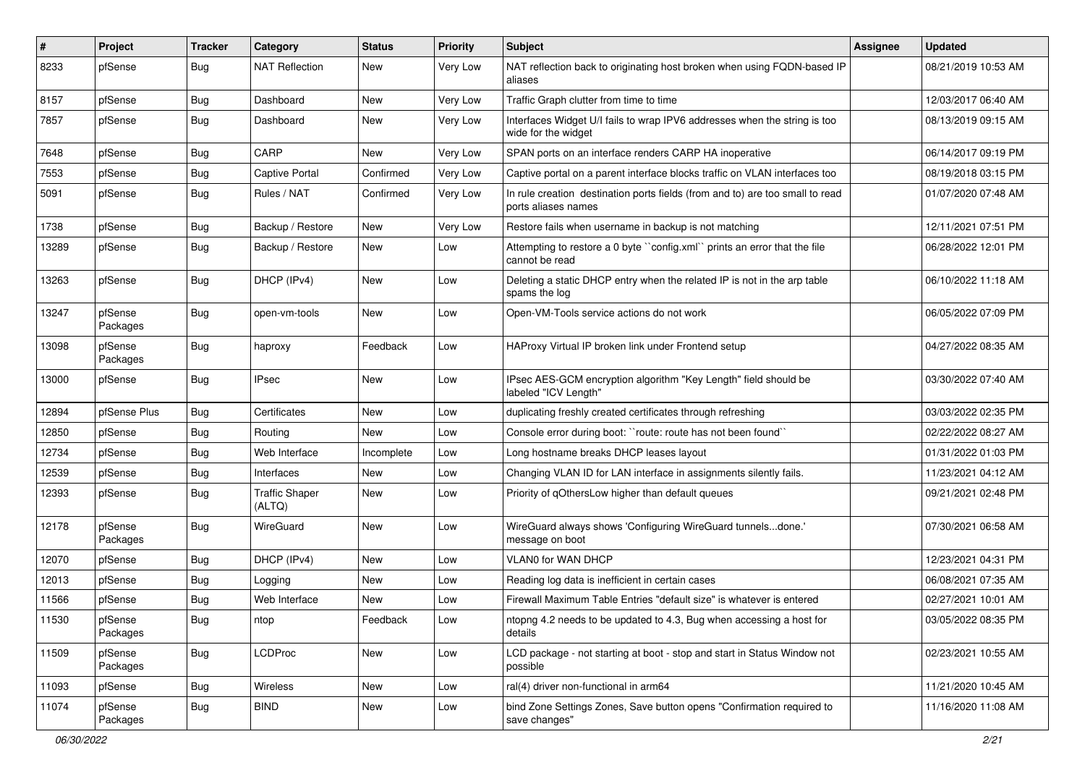| $\vert$ # | Project             | <b>Tracker</b> | Category                        | <b>Status</b> | <b>Priority</b> | <b>Subject</b>                                                                                       | <b>Assignee</b> | <b>Updated</b>      |
|-----------|---------------------|----------------|---------------------------------|---------------|-----------------|------------------------------------------------------------------------------------------------------|-----------------|---------------------|
| 8233      | pfSense             | Bug            | <b>NAT Reflection</b>           | New           | Very Low        | NAT reflection back to originating host broken when using FQDN-based IP<br>aliases                   |                 | 08/21/2019 10:53 AM |
| 8157      | pfSense             | Bug            | Dashboard                       | New           | Very Low        | Traffic Graph clutter from time to time                                                              |                 | 12/03/2017 06:40 AM |
| 7857      | pfSense             | <b>Bug</b>     | Dashboard                       | New           | Very Low        | Interfaces Widget U/I fails to wrap IPV6 addresses when the string is too<br>wide for the widget     |                 | 08/13/2019 09:15 AM |
| 7648      | pfSense             | <b>Bug</b>     | CARP                            | New           | Very Low        | SPAN ports on an interface renders CARP HA inoperative                                               |                 | 06/14/2017 09:19 PM |
| 7553      | pfSense             | Bug            | <b>Captive Portal</b>           | Confirmed     | Very Low        | Captive portal on a parent interface blocks traffic on VLAN interfaces too                           |                 | 08/19/2018 03:15 PM |
| 5091      | pfSense             | Bug            | Rules / NAT                     | Confirmed     | Very Low        | In rule creation destination ports fields (from and to) are too small to read<br>ports aliases names |                 | 01/07/2020 07:48 AM |
| 1738      | pfSense             | Bug            | Backup / Restore                | New           | Very Low        | Restore fails when username in backup is not matching                                                |                 | 12/11/2021 07:51 PM |
| 13289     | pfSense             | Bug            | Backup / Restore                | New           | Low             | Attempting to restore a 0 byte "config.xml" prints an error that the file<br>cannot be read          |                 | 06/28/2022 12:01 PM |
| 13263     | pfSense             | Bug            | DHCP (IPv4)                     | <b>New</b>    | Low             | Deleting a static DHCP entry when the related IP is not in the arp table<br>spams the log            |                 | 06/10/2022 11:18 AM |
| 13247     | pfSense<br>Packages | Bug            | open-vm-tools                   | New           | Low             | Open-VM-Tools service actions do not work                                                            |                 | 06/05/2022 07:09 PM |
| 13098     | pfSense<br>Packages | Bug            | haproxy                         | Feedback      | Low             | HAProxy Virtual IP broken link under Frontend setup                                                  |                 | 04/27/2022 08:35 AM |
| 13000     | pfSense             | Bug            | <b>IPsec</b>                    | New           | Low             | IPsec AES-GCM encryption algorithm "Key Length" field should be<br>labeled "ICV Length"              |                 | 03/30/2022 07:40 AM |
| 12894     | pfSense Plus        | Bug            | Certificates                    | <b>New</b>    | Low             | duplicating freshly created certificates through refreshing                                          |                 | 03/03/2022 02:35 PM |
| 12850     | pfSense             | <b>Bug</b>     | Routing                         | New           | Low             | Console error during boot: "route: route has not been found"                                         |                 | 02/22/2022 08:27 AM |
| 12734     | pfSense             | Bug            | Web Interface                   | Incomplete    | Low             | Long hostname breaks DHCP leases layout                                                              |                 | 01/31/2022 01:03 PM |
| 12539     | pfSense             | Bug            | Interfaces                      | <b>New</b>    | Low             | Changing VLAN ID for LAN interface in assignments silently fails.                                    |                 | 11/23/2021 04:12 AM |
| 12393     | pfSense             | <b>Bug</b>     | <b>Traffic Shaper</b><br>(ALTQ) | New           | Low             | Priority of qOthersLow higher than default queues                                                    |                 | 09/21/2021 02:48 PM |
| 12178     | pfSense<br>Packages | <b>Bug</b>     | WireGuard                       | New           | Low             | WireGuard always shows 'Configuring WireGuard tunnelsdone.'<br>message on boot                       |                 | 07/30/2021 06:58 AM |
| 12070     | pfSense             | Bug            | DHCP (IPv4)                     | New           | Low             | <b>VLAN0 for WAN DHCP</b>                                                                            |                 | 12/23/2021 04:31 PM |
| 12013     | pfSense             | Bug            | Logging                         | New           | Low             | Reading log data is inefficient in certain cases                                                     |                 | 06/08/2021 07:35 AM |
| 11566     | pfSense             | Bug            | Web Interface                   | New           | Low             | Firewall Maximum Table Entries "default size" is whatever is entered                                 |                 | 02/27/2021 10:01 AM |
| 11530     | pfSense<br>Packages | <b>Bug</b>     | ntop                            | Feedback      | Low             | ntopng 4.2 needs to be updated to 4.3, Bug when accessing a host for<br>details                      |                 | 03/05/2022 08:35 PM |
| 11509     | pfSense<br>Packages | <b>Bug</b>     | <b>LCDProc</b>                  | New           | Low             | LCD package - not starting at boot - stop and start in Status Window not<br>possible                 |                 | 02/23/2021 10:55 AM |
| 11093     | pfSense             | <b>Bug</b>     | Wireless                        | New           | Low             | ral(4) driver non-functional in arm64                                                                |                 | 11/21/2020 10:45 AM |
| 11074     | pfSense<br>Packages | <b>Bug</b>     | <b>BIND</b>                     | New           | Low             | bind Zone Settings Zones, Save button opens "Confirmation required to<br>save changes"               |                 | 11/16/2020 11:08 AM |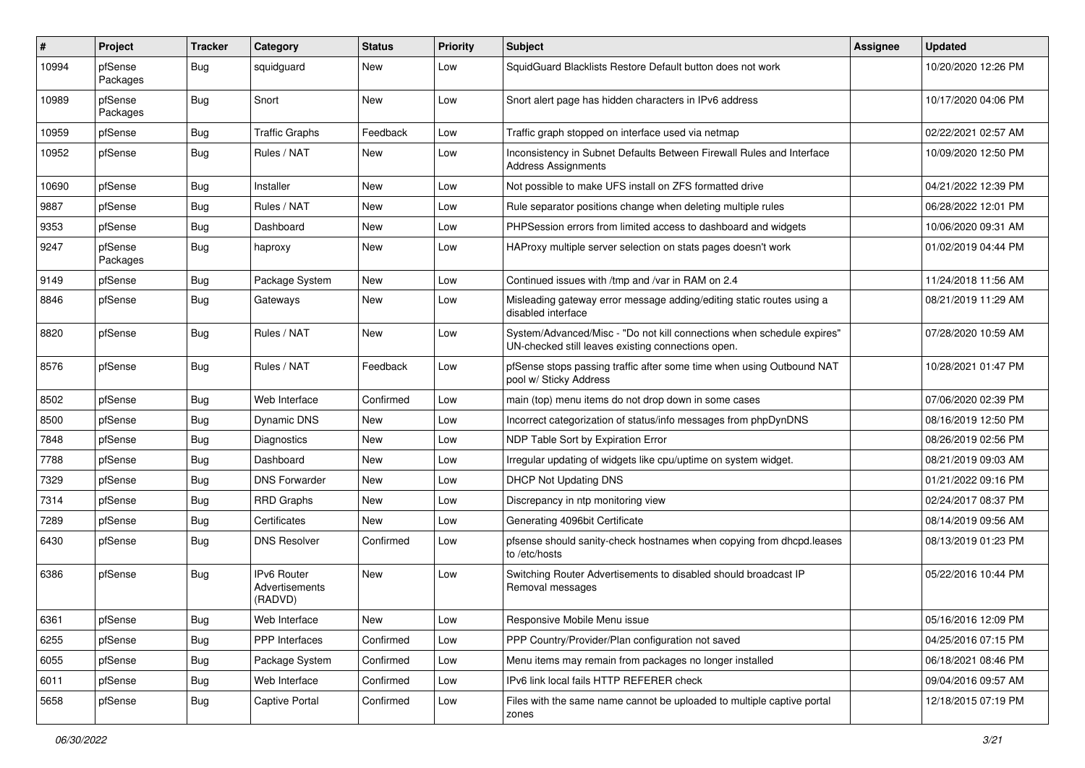| ∦     | Project             | <b>Tracker</b> | Category                                        | <b>Status</b> | <b>Priority</b> | <b>Subject</b>                                                                                                               | <b>Assignee</b> | <b>Updated</b>      |
|-------|---------------------|----------------|-------------------------------------------------|---------------|-----------------|------------------------------------------------------------------------------------------------------------------------------|-----------------|---------------------|
| 10994 | pfSense<br>Packages | Bug            | squidguard                                      | <b>New</b>    | Low             | SquidGuard Blacklists Restore Default button does not work                                                                   |                 | 10/20/2020 12:26 PM |
| 10989 | pfSense<br>Packages | Bug            | Snort                                           | <b>New</b>    | Low             | Snort alert page has hidden characters in IPv6 address                                                                       |                 | 10/17/2020 04:06 PM |
| 10959 | pfSense             | Bug            | <b>Traffic Graphs</b>                           | Feedback      | Low             | Traffic graph stopped on interface used via netmap                                                                           |                 | 02/22/2021 02:57 AM |
| 10952 | pfSense             | Bug            | Rules / NAT                                     | New           | Low             | Inconsistency in Subnet Defaults Between Firewall Rules and Interface<br><b>Address Assignments</b>                          |                 | 10/09/2020 12:50 PM |
| 10690 | pfSense             | Bug            | Installer                                       | New           | Low             | Not possible to make UFS install on ZFS formatted drive                                                                      |                 | 04/21/2022 12:39 PM |
| 9887  | pfSense             | Bug            | Rules / NAT                                     | <b>New</b>    | Low             | Rule separator positions change when deleting multiple rules                                                                 |                 | 06/28/2022 12:01 PM |
| 9353  | pfSense             | Bug            | Dashboard                                       | New           | Low             | PHPSession errors from limited access to dashboard and widgets                                                               |                 | 10/06/2020 09:31 AM |
| 9247  | pfSense<br>Packages | Bug            | haproxy                                         | New           | Low             | HAProxy multiple server selection on stats pages doesn't work                                                                |                 | 01/02/2019 04:44 PM |
| 9149  | pfSense             | Bug            | Package System                                  | <b>New</b>    | Low             | Continued issues with /tmp and /var in RAM on 2.4                                                                            |                 | 11/24/2018 11:56 AM |
| 8846  | pfSense             | Bug            | Gateways                                        | New           | Low             | Misleading gateway error message adding/editing static routes using a<br>disabled interface                                  |                 | 08/21/2019 11:29 AM |
| 8820  | pfSense             | <b>Bug</b>     | Rules / NAT                                     | New           | Low             | System/Advanced/Misc - "Do not kill connections when schedule expires"<br>UN-checked still leaves existing connections open. |                 | 07/28/2020 10:59 AM |
| 8576  | pfSense             | <b>Bug</b>     | Rules / NAT                                     | Feedback      | Low             | pfSense stops passing traffic after some time when using Outbound NAT<br>pool w/ Sticky Address                              |                 | 10/28/2021 01:47 PM |
| 8502  | pfSense             | Bug            | Web Interface                                   | Confirmed     | Low             | main (top) menu items do not drop down in some cases                                                                         |                 | 07/06/2020 02:39 PM |
| 8500  | pfSense             | Bug            | Dynamic DNS                                     | New           | Low             | Incorrect categorization of status/info messages from phpDynDNS                                                              |                 | 08/16/2019 12:50 PM |
| 7848  | pfSense             | Bug            | Diagnostics                                     | New           | Low             | NDP Table Sort by Expiration Error                                                                                           |                 | 08/26/2019 02:56 PM |
| 7788  | pfSense             | <b>Bug</b>     | Dashboard                                       | New           | Low             | Irregular updating of widgets like cpu/uptime on system widget.                                                              |                 | 08/21/2019 09:03 AM |
| 7329  | pfSense             | Bug            | <b>DNS Forwarder</b>                            | New           | Low             | <b>DHCP Not Updating DNS</b>                                                                                                 |                 | 01/21/2022 09:16 PM |
| 7314  | pfSense             | Bug            | <b>RRD Graphs</b>                               | New           | Low             | Discrepancy in ntp monitoring view                                                                                           |                 | 02/24/2017 08:37 PM |
| 7289  | pfSense             | <b>Bug</b>     | Certificates                                    | New           | Low             | Generating 4096bit Certificate                                                                                               |                 | 08/14/2019 09:56 AM |
| 6430  | pfSense             | Bug            | <b>DNS Resolver</b>                             | Confirmed     | Low             | pfsense should sanity-check hostnames when copying from dhcpd.leases<br>to /etc/hosts                                        |                 | 08/13/2019 01:23 PM |
| 6386  | pfSense             | Bug            | <b>IPv6 Router</b><br>Advertisements<br>(RADVD) | New           | Low             | Switching Router Advertisements to disabled should broadcast IP<br>Removal messages                                          |                 | 05/22/2016 10:44 PM |
| 6361  | pfSense             | Bug            | Web Interface                                   | New           | Low             | Responsive Mobile Menu issue                                                                                                 |                 | 05/16/2016 12:09 PM |
| 6255  | pfSense             | <b>Bug</b>     | PPP Interfaces                                  | Confirmed     | Low             | PPP Country/Provider/Plan configuration not saved                                                                            |                 | 04/25/2016 07:15 PM |
| 6055  | pfSense             | <b>Bug</b>     | Package System                                  | Confirmed     | Low             | Menu items may remain from packages no longer installed                                                                      |                 | 06/18/2021 08:46 PM |
| 6011  | pfSense             | Bug            | Web Interface                                   | Confirmed     | Low             | IPv6 link local fails HTTP REFERER check                                                                                     |                 | 09/04/2016 09:57 AM |
| 5658  | pfSense             | <b>Bug</b>     | <b>Captive Portal</b>                           | Confirmed     | Low             | Files with the same name cannot be uploaded to multiple captive portal<br>zones                                              |                 | 12/18/2015 07:19 PM |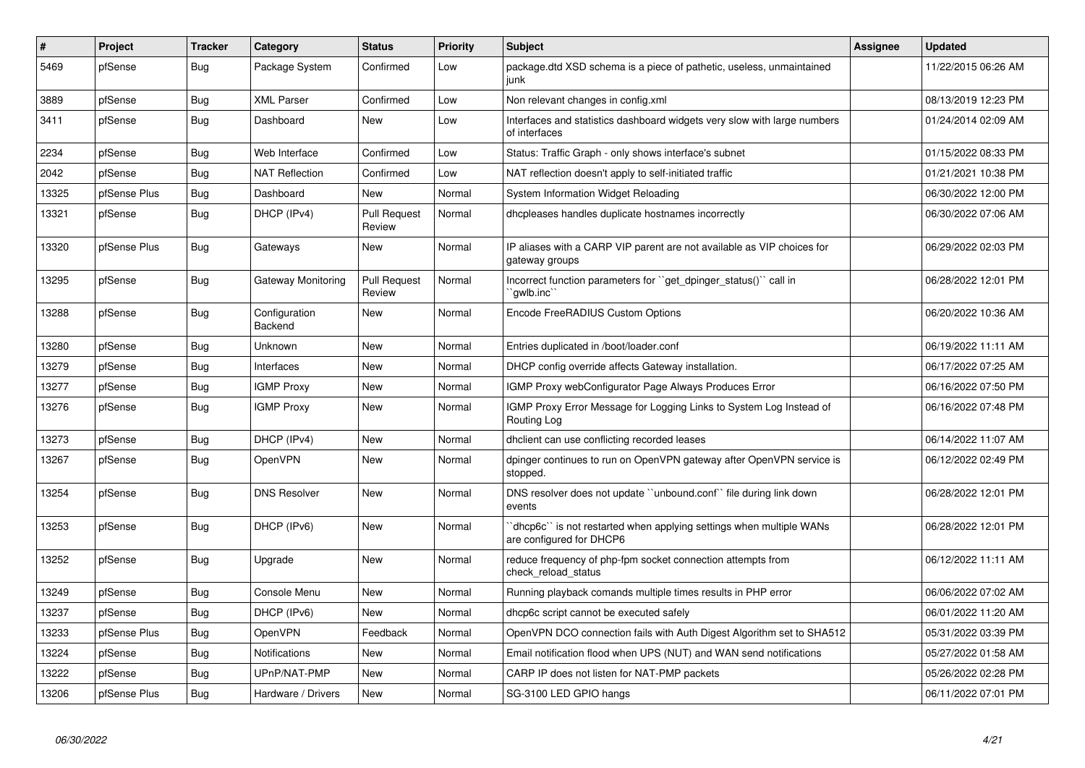| $\vert$ # | Project      | <b>Tracker</b> | Category                 | <b>Status</b>                 | <b>Priority</b> | <b>Subject</b>                                                                                 | Assignee | <b>Updated</b>      |
|-----------|--------------|----------------|--------------------------|-------------------------------|-----------------|------------------------------------------------------------------------------------------------|----------|---------------------|
| 5469      | pfSense      | Bug            | Package System           | Confirmed                     | Low             | package.dtd XSD schema is a piece of pathetic, useless, unmaintained<br>junk                   |          | 11/22/2015 06:26 AM |
| 3889      | pfSense      | <b>Bug</b>     | <b>XML Parser</b>        | Confirmed                     | Low             | Non relevant changes in config.xml                                                             |          | 08/13/2019 12:23 PM |
| 3411      | pfSense      | <b>Bug</b>     | Dashboard                | <b>New</b>                    | Low             | Interfaces and statistics dashboard widgets very slow with large numbers<br>of interfaces      |          | 01/24/2014 02:09 AM |
| 2234      | pfSense      | <b>Bug</b>     | Web Interface            | Confirmed                     | Low             | Status: Traffic Graph - only shows interface's subnet                                          |          | 01/15/2022 08:33 PM |
| 2042      | pfSense      | Bug            | <b>NAT Reflection</b>    | Confirmed                     | Low             | NAT reflection doesn't apply to self-initiated traffic                                         |          | 01/21/2021 10:38 PM |
| 13325     | pfSense Plus | <b>Bug</b>     | Dashboard                | <b>New</b>                    | Normal          | System Information Widget Reloading                                                            |          | 06/30/2022 12:00 PM |
| 13321     | pfSense      | <b>Bug</b>     | DHCP (IPv4)              | <b>Pull Request</b><br>Review | Normal          | dhcpleases handles duplicate hostnames incorrectly                                             |          | 06/30/2022 07:06 AM |
| 13320     | pfSense Plus | <b>Bug</b>     | Gateways                 | <b>New</b>                    | Normal          | IP aliases with a CARP VIP parent are not available as VIP choices for<br>gateway groups       |          | 06/29/2022 02:03 PM |
| 13295     | pfSense      | <b>Bug</b>     | Gateway Monitoring       | <b>Pull Request</b><br>Review | Normal          | Incorrect function parameters for "get_dpinger_status()" call in<br>`awlb.inc`                 |          | 06/28/2022 12:01 PM |
| 13288     | pfSense      | <b>Bug</b>     | Configuration<br>Backend | <b>New</b>                    | Normal          | Encode FreeRADIUS Custom Options                                                               |          | 06/20/2022 10:36 AM |
| 13280     | pfSense      | <b>Bug</b>     | <b>Unknown</b>           | <b>New</b>                    | Normal          | Entries duplicated in /boot/loader.conf                                                        |          | 06/19/2022 11:11 AM |
| 13279     | pfSense      | <b>Bug</b>     | Interfaces               | <b>New</b>                    | Normal          | DHCP config override affects Gateway installation.                                             |          | 06/17/2022 07:25 AM |
| 13277     | pfSense      | <b>Bug</b>     | <b>IGMP Proxy</b>        | <b>New</b>                    | Normal          | <b>IGMP Proxy webConfigurator Page Always Produces Error</b>                                   |          | 06/16/2022 07:50 PM |
| 13276     | pfSense      | Bug            | <b>IGMP Proxy</b>        | <b>New</b>                    | Normal          | IGMP Proxy Error Message for Logging Links to System Log Instead of<br>Routing Log             |          | 06/16/2022 07:48 PM |
| 13273     | pfSense      | <b>Bug</b>     | DHCP (IPv4)              | <b>New</b>                    | Normal          | dhclient can use conflicting recorded leases                                                   |          | 06/14/2022 11:07 AM |
| 13267     | pfSense      | <b>Bug</b>     | <b>OpenVPN</b>           | <b>New</b>                    | Normal          | dpinger continues to run on OpenVPN gateway after OpenVPN service is<br>stopped.               |          | 06/12/2022 02:49 PM |
| 13254     | pfSense      | <b>Bug</b>     | <b>DNS Resolver</b>      | <b>New</b>                    | Normal          | DNS resolver does not update "unbound.conf" file during link down<br>events                    |          | 06/28/2022 12:01 PM |
| 13253     | pfSense      | <b>Bug</b>     | DHCP (IPv6)              | <b>New</b>                    | Normal          | dhcp6c` is not restarted when applying settings when multiple WANs<br>are configured for DHCP6 |          | 06/28/2022 12:01 PM |
| 13252     | pfSense      | <b>Bug</b>     | Upgrade                  | <b>New</b>                    | Normal          | reduce frequency of php-fpm socket connection attempts from<br>check_reload_status             |          | 06/12/2022 11:11 AM |
| 13249     | pfSense      | <b>Bug</b>     | Console Menu             | <b>New</b>                    | Normal          | Running playback comands multiple times results in PHP error                                   |          | 06/06/2022 07:02 AM |
| 13237     | pfSense      | <b>Bug</b>     | DHCP (IPv6)              | <b>New</b>                    | Normal          | dhcp6c script cannot be executed safely                                                        |          | 06/01/2022 11:20 AM |
| 13233     | pfSense Plus | <b>Bug</b>     | <b>OpenVPN</b>           | Feedback                      | Normal          | OpenVPN DCO connection fails with Auth Digest Algorithm set to SHA512                          |          | 05/31/2022 03:39 PM |
| 13224     | pfSense      | <b>Bug</b>     | <b>Notifications</b>     | New                           | Normal          | Email notification flood when UPS (NUT) and WAN send notifications                             |          | 05/27/2022 01:58 AM |
| 13222     | pfSense      | <b>Bug</b>     | UPnP/NAT-PMP             | <b>New</b>                    | Normal          | CARP IP does not listen for NAT-PMP packets                                                    |          | 05/26/2022 02:28 PM |
| 13206     | pfSense Plus | <b>Bug</b>     | Hardware / Drivers       | New                           | Normal          | SG-3100 LED GPIO hangs                                                                         |          | 06/11/2022 07:01 PM |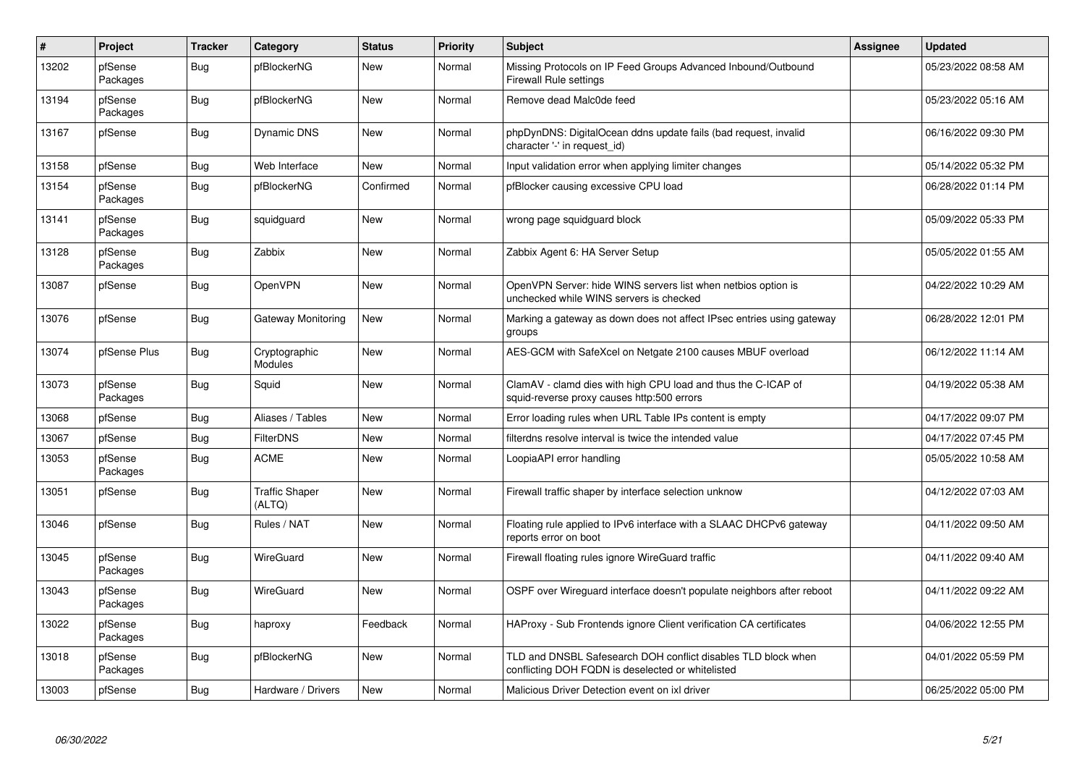| $\vert$ # | Project             | <b>Tracker</b> | Category                        | <b>Status</b> | <b>Priority</b> | <b>Subject</b>                                                                                                     | <b>Assignee</b> | <b>Updated</b>      |
|-----------|---------------------|----------------|---------------------------------|---------------|-----------------|--------------------------------------------------------------------------------------------------------------------|-----------------|---------------------|
| 13202     | pfSense<br>Packages | <b>Bug</b>     | pfBlockerNG                     | New           | Normal          | Missing Protocols on IP Feed Groups Advanced Inbound/Outbound<br><b>Firewall Rule settings</b>                     |                 | 05/23/2022 08:58 AM |
| 13194     | pfSense<br>Packages | <b>Bug</b>     | pfBlockerNG                     | New           | Normal          | Remove dead Malc0de feed                                                                                           |                 | 05/23/2022 05:16 AM |
| 13167     | pfSense             | Bug            | Dynamic DNS                     | New           | Normal          | phpDynDNS: DigitalOcean ddns update fails (bad request, invalid<br>character '-' in request_id)                    |                 | 06/16/2022 09:30 PM |
| 13158     | pfSense             | <b>Bug</b>     | Web Interface                   | <b>New</b>    | Normal          | Input validation error when applying limiter changes                                                               |                 | 05/14/2022 05:32 PM |
| 13154     | pfSense<br>Packages | <b>Bug</b>     | pfBlockerNG                     | Confirmed     | Normal          | pfBlocker causing excessive CPU load                                                                               |                 | 06/28/2022 01:14 PM |
| 13141     | pfSense<br>Packages | <b>Bug</b>     | squidguard                      | <b>New</b>    | Normal          | wrong page squidguard block                                                                                        |                 | 05/09/2022 05:33 PM |
| 13128     | pfSense<br>Packages | Bug            | Zabbix                          | <b>New</b>    | Normal          | Zabbix Agent 6: HA Server Setup                                                                                    |                 | 05/05/2022 01:55 AM |
| 13087     | pfSense             | Bug            | <b>OpenVPN</b>                  | <b>New</b>    | Normal          | OpenVPN Server: hide WINS servers list when netbios option is<br>unchecked while WINS servers is checked           |                 | 04/22/2022 10:29 AM |
| 13076     | pfSense             | <b>Bug</b>     | Gateway Monitoring              | <b>New</b>    | Normal          | Marking a gateway as down does not affect IPsec entries using gateway<br>groups                                    |                 | 06/28/2022 12:01 PM |
| 13074     | pfSense Plus        | <b>Bug</b>     | Cryptographic<br>Modules        | New           | Normal          | AES-GCM with SafeXcel on Netgate 2100 causes MBUF overload                                                         |                 | 06/12/2022 11:14 AM |
| 13073     | pfSense<br>Packages | Bug            | Squid                           | New           | Normal          | ClamAV - clamd dies with high CPU load and thus the C-ICAP of<br>squid-reverse proxy causes http:500 errors        |                 | 04/19/2022 05:38 AM |
| 13068     | pfSense             | Bug            | Aliases / Tables                | New           | Normal          | Error loading rules when URL Table IPs content is empty                                                            |                 | 04/17/2022 09:07 PM |
| 13067     | pfSense             | Bug            | <b>FilterDNS</b>                | New           | Normal          | filterdns resolve interval is twice the intended value                                                             |                 | 04/17/2022 07:45 PM |
| 13053     | pfSense<br>Packages | Bug            | <b>ACME</b>                     | <b>New</b>    | Normal          | LoopiaAPI error handling                                                                                           |                 | 05/05/2022 10:58 AM |
| 13051     | pfSense             | Bug            | <b>Traffic Shaper</b><br>(ALTQ) | New           | Normal          | Firewall traffic shaper by interface selection unknow                                                              |                 | 04/12/2022 07:03 AM |
| 13046     | pfSense             | <b>Bug</b>     | Rules / NAT                     | New           | Normal          | Floating rule applied to IPv6 interface with a SLAAC DHCPv6 gateway<br>reports error on boot                       |                 | 04/11/2022 09:50 AM |
| 13045     | pfSense<br>Packages | <b>Bug</b>     | <b>WireGuard</b>                | New           | Normal          | Firewall floating rules ignore WireGuard traffic                                                                   |                 | 04/11/2022 09:40 AM |
| 13043     | pfSense<br>Packages | <b>Bug</b>     | <b>WireGuard</b>                | New           | Normal          | OSPF over Wireguard interface doesn't populate neighbors after reboot                                              |                 | 04/11/2022 09:22 AM |
| 13022     | pfSense<br>Packages | Bug            | haproxy                         | Feedback      | Normal          | HAProxy - Sub Frontends ignore Client verification CA certificates                                                 |                 | 04/06/2022 12:55 PM |
| 13018     | pfSense<br>Packages | Bug            | pfBlockerNG                     | New           | Normal          | TLD and DNSBL Safesearch DOH conflict disables TLD block when<br>conflicting DOH FQDN is deselected or whitelisted |                 | 04/01/2022 05:59 PM |
| 13003     | pfSense             | Bug            | Hardware / Drivers              | New           | Normal          | Malicious Driver Detection event on ixl driver                                                                     |                 | 06/25/2022 05:00 PM |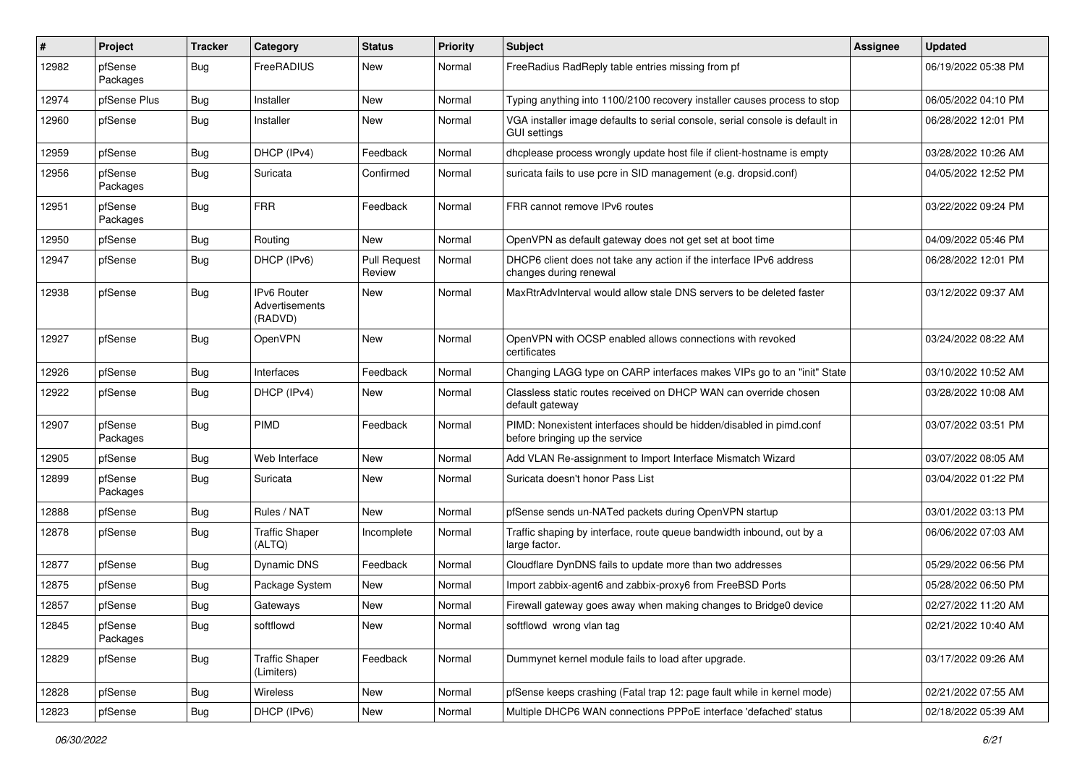| ∦     | Project             | <b>Tracker</b> | <b>Category</b>                                 | <b>Status</b>                 | <b>Priority</b> | <b>Subject</b>                                                                                        | <b>Assignee</b> | <b>Updated</b>      |
|-------|---------------------|----------------|-------------------------------------------------|-------------------------------|-----------------|-------------------------------------------------------------------------------------------------------|-----------------|---------------------|
| 12982 | pfSense<br>Packages | Bug            | FreeRADIUS                                      | New                           | Normal          | FreeRadius RadReply table entries missing from pf                                                     |                 | 06/19/2022 05:38 PM |
| 12974 | pfSense Plus        | Bug            | Installer                                       | New                           | Normal          | Typing anything into 1100/2100 recovery installer causes process to stop                              |                 | 06/05/2022 04:10 PM |
| 12960 | pfSense             | Bug            | Installer                                       | New                           | Normal          | VGA installer image defaults to serial console, serial console is default in<br><b>GUI settings</b>   |                 | 06/28/2022 12:01 PM |
| 12959 | pfSense             | Bug            | DHCP (IPv4)                                     | Feedback                      | Normal          | dhcplease process wrongly update host file if client-hostname is empty                                |                 | 03/28/2022 10:26 AM |
| 12956 | pfSense<br>Packages | Bug            | Suricata                                        | Confirmed                     | Normal          | suricata fails to use pcre in SID management (e.g. dropsid.conf)                                      |                 | 04/05/2022 12:52 PM |
| 12951 | pfSense<br>Packages | Bug            | <b>FRR</b>                                      | Feedback                      | Normal          | FRR cannot remove IPv6 routes                                                                         |                 | 03/22/2022 09:24 PM |
| 12950 | pfSense             | Bug            | Routing                                         | New                           | Normal          | OpenVPN as default gateway does not get set at boot time                                              |                 | 04/09/2022 05:46 PM |
| 12947 | pfSense             | Bug            | DHCP (IPv6)                                     | <b>Pull Request</b><br>Review | Normal          | DHCP6 client does not take any action if the interface IPv6 address<br>changes during renewal         |                 | 06/28/2022 12:01 PM |
| 12938 | pfSense             | <b>Bug</b>     | <b>IPv6 Router</b><br>Advertisements<br>(RADVD) | <b>New</b>                    | Normal          | MaxRtrAdvInterval would allow stale DNS servers to be deleted faster                                  |                 | 03/12/2022 09:37 AM |
| 12927 | pfSense             | Bug            | OpenVPN                                         | <b>New</b>                    | Normal          | OpenVPN with OCSP enabled allows connections with revoked<br>certificates                             |                 | 03/24/2022 08:22 AM |
| 12926 | pfSense             | Bug            | Interfaces                                      | Feedback                      | Normal          | Changing LAGG type on CARP interfaces makes VIPs go to an "init" State                                |                 | 03/10/2022 10:52 AM |
| 12922 | pfSense             | Bug            | DHCP (IPv4)                                     | New                           | Normal          | Classless static routes received on DHCP WAN can override chosen<br>default gateway                   |                 | 03/28/2022 10:08 AM |
| 12907 | pfSense<br>Packages | Bug            | PIMD                                            | Feedback                      | Normal          | PIMD: Nonexistent interfaces should be hidden/disabled in pimd.conf<br>before bringing up the service |                 | 03/07/2022 03:51 PM |
| 12905 | pfSense             | Bug            | Web Interface                                   | <b>New</b>                    | Normal          | Add VLAN Re-assignment to Import Interface Mismatch Wizard                                            |                 | 03/07/2022 08:05 AM |
| 12899 | pfSense<br>Packages | Bug            | Suricata                                        | New                           | Normal          | Suricata doesn't honor Pass List                                                                      |                 | 03/04/2022 01:22 PM |
| 12888 | pfSense             | Bug            | Rules / NAT                                     | <b>New</b>                    | Normal          | pfSense sends un-NATed packets during OpenVPN startup                                                 |                 | 03/01/2022 03:13 PM |
| 12878 | pfSense             | <b>Bug</b>     | <b>Traffic Shaper</b><br>(ALTQ)                 | Incomplete                    | Normal          | Traffic shaping by interface, route queue bandwidth inbound, out by a<br>large factor.                |                 | 06/06/2022 07:03 AM |
| 12877 | pfSense             | Bug            | <b>Dynamic DNS</b>                              | Feedback                      | Normal          | Cloudflare DynDNS fails to update more than two addresses                                             |                 | 05/29/2022 06:56 PM |
| 12875 | pfSense             | Bug            | Package System                                  | New                           | Normal          | Import zabbix-agent6 and zabbix-proxy6 from FreeBSD Ports                                             |                 | 05/28/2022 06:50 PM |
| 12857 | pfSense             | Bug            | Gateways                                        | New                           | Normal          | Firewall gateway goes away when making changes to Bridge0 device                                      |                 | 02/27/2022 11:20 AM |
| 12845 | pfSense<br>Packages | <b>Bug</b>     | softflowd                                       | New                           | Normal          | softflowd wrong vlan tag                                                                              |                 | 02/21/2022 10:40 AM |
| 12829 | pfSense             | Bug            | <b>Traffic Shaper</b><br>(Limiters)             | Feedback                      | Normal          | Dummynet kernel module fails to load after upgrade.                                                   |                 | 03/17/2022 09:26 AM |
| 12828 | pfSense             | <b>Bug</b>     | Wireless                                        | New                           | Normal          | pfSense keeps crashing (Fatal trap 12: page fault while in kernel mode)                               |                 | 02/21/2022 07:55 AM |
| 12823 | pfSense             | Bug            | DHCP (IPv6)                                     | New                           | Normal          | Multiple DHCP6 WAN connections PPPoE interface 'defached' status                                      |                 | 02/18/2022 05:39 AM |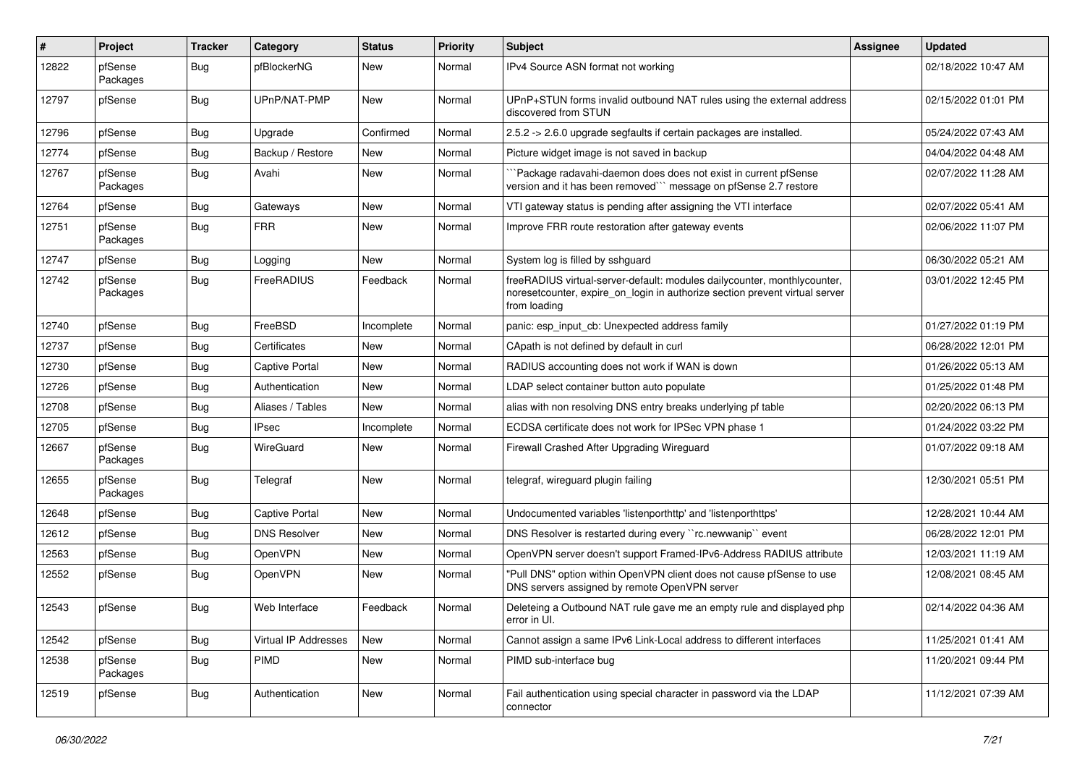| #     | Project             | <b>Tracker</b> | Category              | <b>Status</b> | <b>Priority</b> | <b>Subject</b>                                                                                                                                                          | <b>Assignee</b> | <b>Updated</b>      |
|-------|---------------------|----------------|-----------------------|---------------|-----------------|-------------------------------------------------------------------------------------------------------------------------------------------------------------------------|-----------------|---------------------|
| 12822 | pfSense<br>Packages | Bug            | pfBlockerNG           | New           | Normal          | IPv4 Source ASN format not working                                                                                                                                      |                 | 02/18/2022 10:47 AM |
| 12797 | pfSense             | Bug            | UPnP/NAT-PMP          | New           | Normal          | UPnP+STUN forms invalid outbound NAT rules using the external address<br>discovered from STUN                                                                           |                 | 02/15/2022 01:01 PM |
| 12796 | pfSense             | Bug            | Upgrade               | Confirmed     | Normal          | 2.5.2 -> 2.6.0 upgrade segfaults if certain packages are installed.                                                                                                     |                 | 05/24/2022 07:43 AM |
| 12774 | pfSense             | <b>Bug</b>     | Backup / Restore      | New           | Normal          | Picture widget image is not saved in backup                                                                                                                             |                 | 04/04/2022 04:48 AM |
| 12767 | pfSense<br>Packages | Bug            | Avahi                 | New           | Normal          | Package radavahi-daemon does does not exist in current pfSense<br>version and it has been removed" message on pfSense 2.7 restore                                       |                 | 02/07/2022 11:28 AM |
| 12764 | pfSense             | Bug            | Gateways              | New           | Normal          | VTI gateway status is pending after assigning the VTI interface                                                                                                         |                 | 02/07/2022 05:41 AM |
| 12751 | pfSense<br>Packages | Bug            | FRR                   | New           | Normal          | Improve FRR route restoration after gateway events                                                                                                                      |                 | 02/06/2022 11:07 PM |
| 12747 | pfSense             | <b>Bug</b>     | Logging               | New           | Normal          | System log is filled by sshguard                                                                                                                                        |                 | 06/30/2022 05:21 AM |
| 12742 | pfSense<br>Packages | Bug            | FreeRADIUS            | Feedback      | Normal          | freeRADIUS virtual-server-default: modules dailycounter, monthlycounter,<br>noresetcounter, expire_on_login in authorize section prevent virtual server<br>from loading |                 | 03/01/2022 12:45 PM |
| 12740 | pfSense             | Bug            | FreeBSD               | Incomplete    | Normal          | panic: esp input cb: Unexpected address family                                                                                                                          |                 | 01/27/2022 01:19 PM |
| 12737 | pfSense             | Bug            | Certificates          | New           | Normal          | CApath is not defined by default in curl                                                                                                                                |                 | 06/28/2022 12:01 PM |
| 12730 | pfSense             | Bug            | <b>Captive Portal</b> | New           | Normal          | RADIUS accounting does not work if WAN is down                                                                                                                          |                 | 01/26/2022 05:13 AM |
| 12726 | pfSense             | <b>Bug</b>     | Authentication        | New           | Normal          | LDAP select container button auto populate                                                                                                                              |                 | 01/25/2022 01:48 PM |
| 12708 | pfSense             | <b>Bug</b>     | Aliases / Tables      | New           | Normal          | alias with non resolving DNS entry breaks underlying pf table                                                                                                           |                 | 02/20/2022 06:13 PM |
| 12705 | pfSense             | Bug            | <b>IPsec</b>          | Incomplete    | Normal          | ECDSA certificate does not work for IPSec VPN phase 1                                                                                                                   |                 | 01/24/2022 03:22 PM |
| 12667 | pfSense<br>Packages | Bug            | <b>WireGuard</b>      | New           | Normal          | Firewall Crashed After Upgrading Wireguard                                                                                                                              |                 | 01/07/2022 09:18 AM |
| 12655 | pfSense<br>Packages | <b>Bug</b>     | Telegraf              | New           | Normal          | telegraf, wireguard plugin failing                                                                                                                                      |                 | 12/30/2021 05:51 PM |
| 12648 | pfSense             | Bug            | <b>Captive Portal</b> | New           | Normal          | Undocumented variables 'listenporthttp' and 'listenporthttps'                                                                                                           |                 | 12/28/2021 10:44 AM |
| 12612 | pfSense             | <b>Bug</b>     | <b>DNS Resolver</b>   | New           | Normal          | DNS Resolver is restarted during every "rc.newwanip" event                                                                                                              |                 | 06/28/2022 12:01 PM |
| 12563 | pfSense             | <b>Bug</b>     | OpenVPN               | New           | Normal          | OpenVPN server doesn't support Framed-IPv6-Address RADIUS attribute                                                                                                     |                 | 12/03/2021 11:19 AM |
| 12552 | pfSense             | Bug            | OpenVPN               | New           | Normal          | "Pull DNS" option within OpenVPN client does not cause pfSense to use<br>DNS servers assigned by remote OpenVPN server                                                  |                 | 12/08/2021 08:45 AM |
| 12543 | pfSense             | Bug            | Web Interface         | Feedback      | Normal          | Deleteing a Outbound NAT rule gave me an empty rule and displayed php<br>error in UI.                                                                                   |                 | 02/14/2022 04:36 AM |
| 12542 | pfSense             | <b>Bug</b>     | Virtual IP Addresses  | New           | Normal          | Cannot assign a same IPv6 Link-Local address to different interfaces                                                                                                    |                 | 11/25/2021 01:41 AM |
| 12538 | pfSense<br>Packages | <b>Bug</b>     | <b>PIMD</b>           | New           | Normal          | PIMD sub-interface bug                                                                                                                                                  |                 | 11/20/2021 09:44 PM |
| 12519 | pfSense             | Bug            | Authentication        | New           | Normal          | Fail authentication using special character in password via the LDAP<br>connector                                                                                       |                 | 11/12/2021 07:39 AM |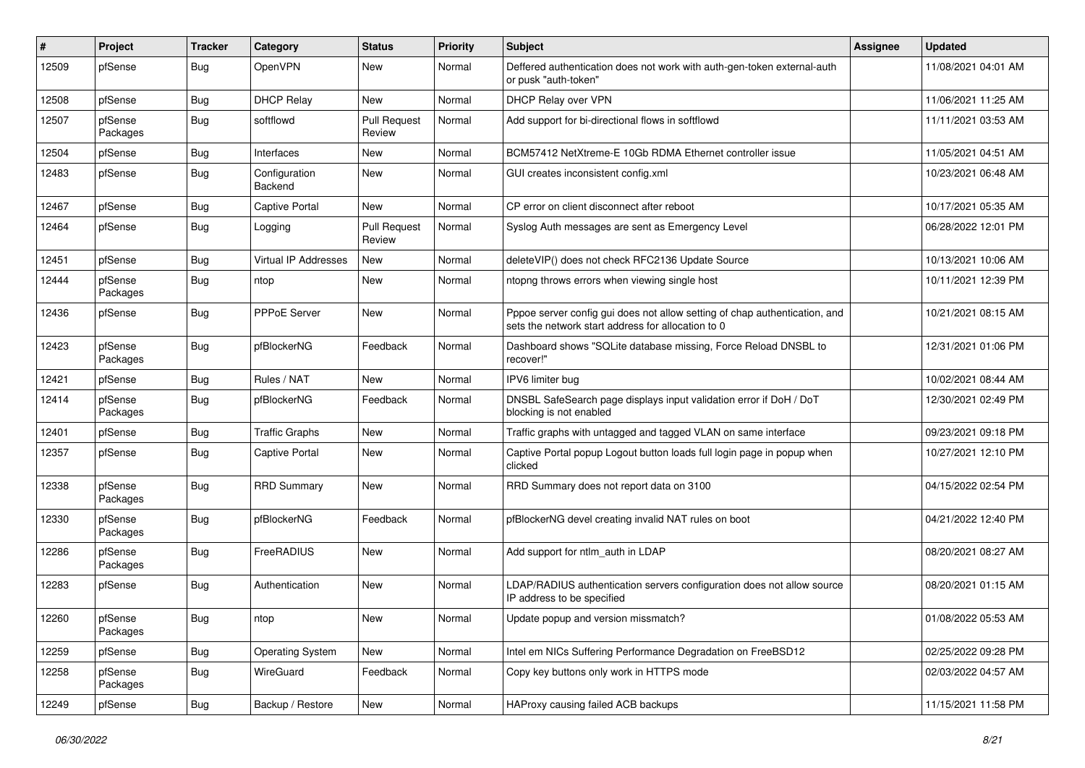| #     | Project             | <b>Tracker</b> | Category                 | <b>Status</b>                 | <b>Priority</b> | <b>Subject</b>                                                                                                                   | <b>Assignee</b> | <b>Updated</b>      |
|-------|---------------------|----------------|--------------------------|-------------------------------|-----------------|----------------------------------------------------------------------------------------------------------------------------------|-----------------|---------------------|
| 12509 | pfSense             | Bug            | OpenVPN                  | New                           | Normal          | Deffered authentication does not work with auth-gen-token external-auth<br>or pusk "auth-token"                                  |                 | 11/08/2021 04:01 AM |
| 12508 | pfSense             | Bug            | <b>DHCP Relay</b>        | <b>New</b>                    | Normal          | DHCP Relay over VPN                                                                                                              |                 | 11/06/2021 11:25 AM |
| 12507 | pfSense<br>Packages | <b>Bug</b>     | softflowd                | <b>Pull Request</b><br>Review | Normal          | Add support for bi-directional flows in softflowd                                                                                |                 | 11/11/2021 03:53 AM |
| 12504 | pfSense             | Bug            | Interfaces               | New                           | Normal          | BCM57412 NetXtreme-E 10Gb RDMA Ethernet controller issue                                                                         |                 | 11/05/2021 04:51 AM |
| 12483 | pfSense             | Bug            | Configuration<br>Backend | New                           | Normal          | GUI creates inconsistent config.xml                                                                                              |                 | 10/23/2021 06:48 AM |
| 12467 | pfSense             | Bug            | <b>Captive Portal</b>    | New                           | Normal          | CP error on client disconnect after reboot                                                                                       |                 | 10/17/2021 05:35 AM |
| 12464 | pfSense             | Bug            | Logging                  | <b>Pull Request</b><br>Review | Normal          | Syslog Auth messages are sent as Emergency Level                                                                                 |                 | 06/28/2022 12:01 PM |
| 12451 | pfSense             | Bug            | Virtual IP Addresses     | <b>New</b>                    | Normal          | deleteVIP() does not check RFC2136 Update Source                                                                                 |                 | 10/13/2021 10:06 AM |
| 12444 | pfSense<br>Packages | <b>Bug</b>     | ntop                     | <b>New</b>                    | Normal          | ntopng throws errors when viewing single host                                                                                    |                 | 10/11/2021 12:39 PM |
| 12436 | pfSense             | Bug            | PPPoE Server             | New                           | Normal          | Pppoe server config gui does not allow setting of chap authentication, and<br>sets the network start address for allocation to 0 |                 | 10/21/2021 08:15 AM |
| 12423 | pfSense<br>Packages | Bug            | pfBlockerNG              | Feedback                      | Normal          | Dashboard shows "SQLite database missing, Force Reload DNSBL to<br>recover!"                                                     |                 | 12/31/2021 01:06 PM |
| 12421 | pfSense             | Bug            | Rules / NAT              | New                           | Normal          | IPV6 limiter bug                                                                                                                 |                 | 10/02/2021 08:44 AM |
| 12414 | pfSense<br>Packages | Bug            | pfBlockerNG              | Feedback                      | Normal          | DNSBL SafeSearch page displays input validation error if DoH / DoT<br>blocking is not enabled                                    |                 | 12/30/2021 02:49 PM |
| 12401 | pfSense             | Bug            | <b>Traffic Graphs</b>    | New                           | Normal          | Traffic graphs with untagged and tagged VLAN on same interface                                                                   |                 | 09/23/2021 09:18 PM |
| 12357 | pfSense             | Bug            | <b>Captive Portal</b>    | New                           | Normal          | Captive Portal popup Logout button loads full login page in popup when<br>clicked                                                |                 | 10/27/2021 12:10 PM |
| 12338 | pfSense<br>Packages | Bug            | <b>RRD Summary</b>       | New                           | Normal          | RRD Summary does not report data on 3100                                                                                         |                 | 04/15/2022 02:54 PM |
| 12330 | pfSense<br>Packages | <b>Bug</b>     | pfBlockerNG              | Feedback                      | Normal          | pfBlockerNG devel creating invalid NAT rules on boot                                                                             |                 | 04/21/2022 12:40 PM |
| 12286 | pfSense<br>Packages | Bug            | FreeRADIUS               | <b>New</b>                    | Normal          | Add support for ntlm_auth in LDAP                                                                                                |                 | 08/20/2021 08:27 AM |
| 12283 | pfSense             | Bug            | Authentication           | <b>New</b>                    | Normal          | LDAP/RADIUS authentication servers configuration does not allow source<br>IP address to be specified                             |                 | 08/20/2021 01:15 AM |
| 12260 | pfSense<br>Packages | <b>Bug</b>     | ntop                     | New                           | Normal          | Update popup and version missmatch?                                                                                              |                 | 01/08/2022 05:53 AM |
| 12259 | pfSense             | <b>Bug</b>     | <b>Operating System</b>  | New                           | Normal          | Intel em NICs Suffering Performance Degradation on FreeBSD12                                                                     |                 | 02/25/2022 09:28 PM |
| 12258 | pfSense<br>Packages | <b>Bug</b>     | <b>WireGuard</b>         | Feedback                      | Normal          | Copy key buttons only work in HTTPS mode                                                                                         |                 | 02/03/2022 04:57 AM |
| 12249 | pfSense             | <b>Bug</b>     | Backup / Restore         | New                           | Normal          | HAProxy causing failed ACB backups                                                                                               |                 | 11/15/2021 11:58 PM |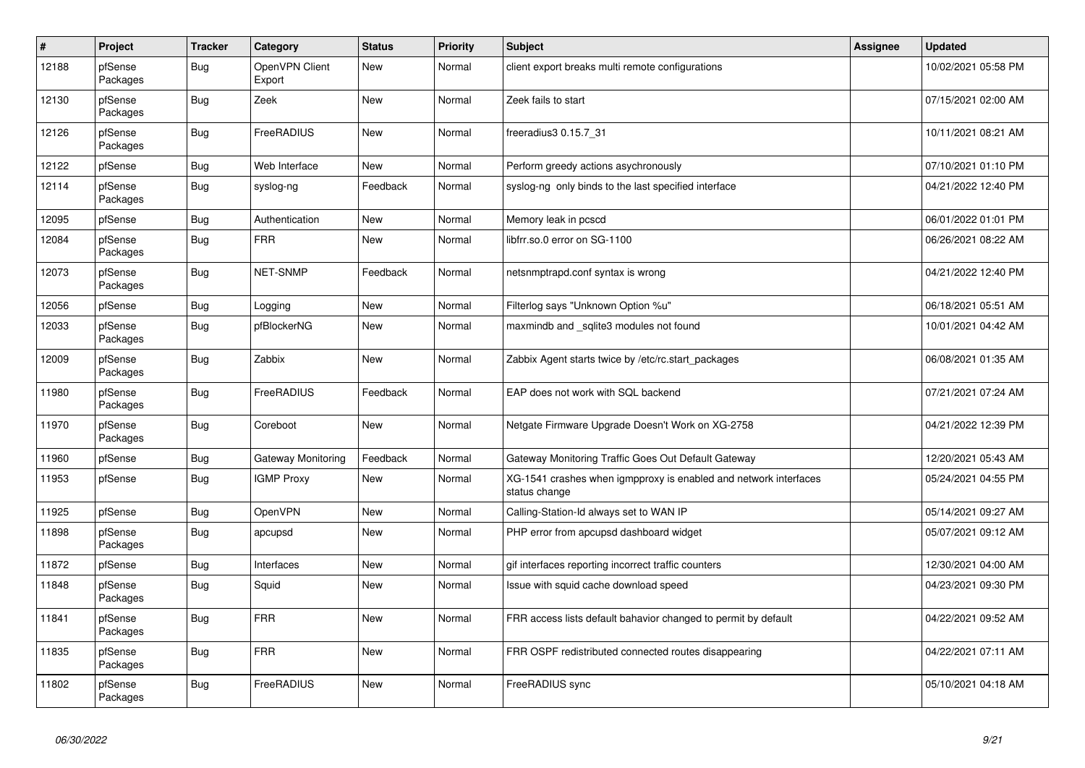| #     | Project             | <b>Tracker</b> | Category                 | <b>Status</b> | <b>Priority</b> | <b>Subject</b>                                                                    | Assignee | <b>Updated</b>      |
|-------|---------------------|----------------|--------------------------|---------------|-----------------|-----------------------------------------------------------------------------------|----------|---------------------|
| 12188 | pfSense<br>Packages | Bug            | OpenVPN Client<br>Export | <b>New</b>    | Normal          | client export breaks multi remote configurations                                  |          | 10/02/2021 05:58 PM |
| 12130 | pfSense<br>Packages | Bug            | Zeek                     | <b>New</b>    | Normal          | Zeek fails to start                                                               |          | 07/15/2021 02:00 AM |
| 12126 | pfSense<br>Packages | Bug            | FreeRADIUS               | <b>New</b>    | Normal          | freeradius3 0.15.7_31                                                             |          | 10/11/2021 08:21 AM |
| 12122 | pfSense             | <b>Bug</b>     | Web Interface            | <b>New</b>    | Normal          | Perform greedy actions asychronously                                              |          | 07/10/2021 01:10 PM |
| 12114 | pfSense<br>Packages | <b>Bug</b>     | syslog-ng                | Feedback      | Normal          | syslog-ng only binds to the last specified interface                              |          | 04/21/2022 12:40 PM |
| 12095 | pfSense             | <b>Bug</b>     | Authentication           | <b>New</b>    | Normal          | Memory leak in pcscd                                                              |          | 06/01/2022 01:01 PM |
| 12084 | pfSense<br>Packages | Bug            | <b>FRR</b>               | New           | Normal          | libfrr.so.0 error on SG-1100                                                      |          | 06/26/2021 08:22 AM |
| 12073 | pfSense<br>Packages | <b>Bug</b>     | NET-SNMP                 | Feedback      | Normal          | netsnmptrapd.conf syntax is wrong                                                 |          | 04/21/2022 12:40 PM |
| 12056 | pfSense             | Bug            | Logging                  | <b>New</b>    | Normal          | Filterlog says "Unknown Option %u"                                                |          | 06/18/2021 05:51 AM |
| 12033 | pfSense<br>Packages | <b>Bug</b>     | pfBlockerNG              | <b>New</b>    | Normal          | maxmindb and _sqlite3 modules not found                                           |          | 10/01/2021 04:42 AM |
| 12009 | pfSense<br>Packages | <b>Bug</b>     | Zabbix                   | <b>New</b>    | Normal          | Zabbix Agent starts twice by /etc/rc.start_packages                               |          | 06/08/2021 01:35 AM |
| 11980 | pfSense<br>Packages | <b>Bug</b>     | FreeRADIUS               | Feedback      | Normal          | EAP does not work with SQL backend                                                |          | 07/21/2021 07:24 AM |
| 11970 | pfSense<br>Packages | <b>Bug</b>     | Coreboot                 | <b>New</b>    | Normal          | Netgate Firmware Upgrade Doesn't Work on XG-2758                                  |          | 04/21/2022 12:39 PM |
| 11960 | pfSense             | Bug            | Gateway Monitoring       | Feedback      | Normal          | Gateway Monitoring Traffic Goes Out Default Gateway                               |          | 12/20/2021 05:43 AM |
| 11953 | pfSense             | <b>Bug</b>     | <b>IGMP Proxy</b>        | <b>New</b>    | Normal          | XG-1541 crashes when igmpproxy is enabled and network interfaces<br>status change |          | 05/24/2021 04:55 PM |
| 11925 | pfSense             | Bug            | <b>OpenVPN</b>           | <b>New</b>    | Normal          | Calling-Station-Id always set to WAN IP                                           |          | 05/14/2021 09:27 AM |
| 11898 | pfSense<br>Packages | <b>Bug</b>     | apcupsd                  | <b>New</b>    | Normal          | PHP error from apcupsd dashboard widget                                           |          | 05/07/2021 09:12 AM |
| 11872 | pfSense             | <b>Bug</b>     | Interfaces               | <b>New</b>    | Normal          | gif interfaces reporting incorrect traffic counters                               |          | 12/30/2021 04:00 AM |
| 11848 | pfSense<br>Packages | <b>Bug</b>     | Squid                    | New           | Normal          | Issue with squid cache download speed                                             |          | 04/23/2021 09:30 PM |
| 11841 | pfSense<br>Packages | Bug            | <b>FRR</b>               | <b>New</b>    | Normal          | FRR access lists default bahavior changed to permit by default                    |          | 04/22/2021 09:52 AM |
| 11835 | pfSense<br>Packages | <b>Bug</b>     | <b>FRR</b>               | <b>New</b>    | Normal          | FRR OSPF redistributed connected routes disappearing                              |          | 04/22/2021 07:11 AM |
| 11802 | pfSense<br>Packages | <b>Bug</b>     | FreeRADIUS               | <b>New</b>    | Normal          | FreeRADIUS sync                                                                   |          | 05/10/2021 04:18 AM |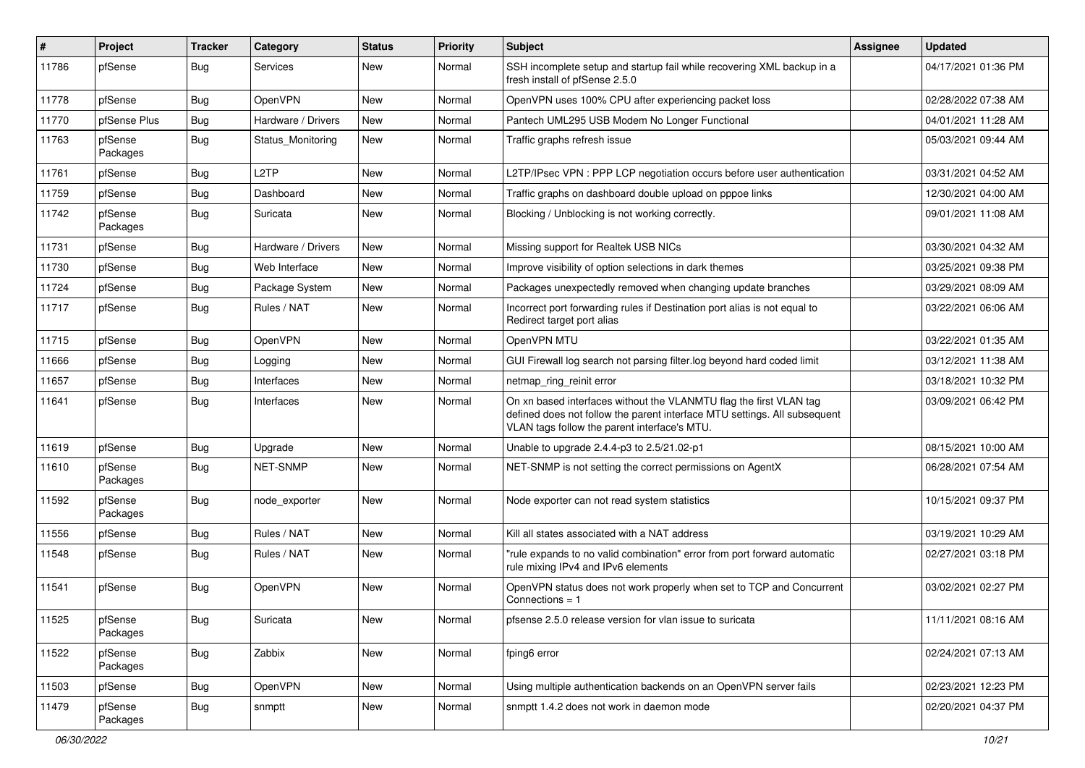| $\vert$ # | Project             | <b>Tracker</b> | Category           | <b>Status</b> | <b>Priority</b> | Subject                                                                                                                                                                                         | <b>Assignee</b> | <b>Updated</b>      |
|-----------|---------------------|----------------|--------------------|---------------|-----------------|-------------------------------------------------------------------------------------------------------------------------------------------------------------------------------------------------|-----------------|---------------------|
| 11786     | pfSense             | Bug            | Services           | New           | Normal          | SSH incomplete setup and startup fail while recovering XML backup in a<br>fresh install of pfSense 2.5.0                                                                                        |                 | 04/17/2021 01:36 PM |
| 11778     | pfSense             | Bug            | OpenVPN            | New           | Normal          | OpenVPN uses 100% CPU after experiencing packet loss                                                                                                                                            |                 | 02/28/2022 07:38 AM |
| 11770     | pfSense Plus        | <b>Bug</b>     | Hardware / Drivers | New           | Normal          | Pantech UML295 USB Modem No Longer Functional                                                                                                                                                   |                 | 04/01/2021 11:28 AM |
| 11763     | pfSense<br>Packages | <b>Bug</b>     | Status Monitoring  | New           | Normal          | Traffic graphs refresh issue                                                                                                                                                                    |                 | 05/03/2021 09:44 AM |
| 11761     | pfSense             | Bug            | L <sub>2</sub> TP  | <b>New</b>    | Normal          | L2TP/IPsec VPN : PPP LCP negotiation occurs before user authentication                                                                                                                          |                 | 03/31/2021 04:52 AM |
| 11759     | pfSense             | Bug            | Dashboard          | <b>New</b>    | Normal          | Traffic graphs on dashboard double upload on pppoe links                                                                                                                                        |                 | 12/30/2021 04:00 AM |
| 11742     | pfSense<br>Packages | Bug            | Suricata           | New           | Normal          | Blocking / Unblocking is not working correctly.                                                                                                                                                 |                 | 09/01/2021 11:08 AM |
| 11731     | pfSense             | Bug            | Hardware / Drivers | New           | Normal          | Missing support for Realtek USB NICs                                                                                                                                                            |                 | 03/30/2021 04:32 AM |
| 11730     | pfSense             | <b>Bug</b>     | Web Interface      | <b>New</b>    | Normal          | Improve visibility of option selections in dark themes                                                                                                                                          |                 | 03/25/2021 09:38 PM |
| 11724     | pfSense             | Bug            | Package System     | <b>New</b>    | Normal          | Packages unexpectedly removed when changing update branches                                                                                                                                     |                 | 03/29/2021 08:09 AM |
| 11717     | pfSense             | Bug            | Rules / NAT        | <b>New</b>    | Normal          | Incorrect port forwarding rules if Destination port alias is not equal to<br>Redirect target port alias                                                                                         |                 | 03/22/2021 06:06 AM |
| 11715     | pfSense             | Bug            | OpenVPN            | <b>New</b>    | Normal          | OpenVPN MTU                                                                                                                                                                                     |                 | 03/22/2021 01:35 AM |
| 11666     | pfSense             | Bug            | Logging            | New           | Normal          | GUI Firewall log search not parsing filter.log beyond hard coded limit                                                                                                                          |                 | 03/12/2021 11:38 AM |
| 11657     | pfSense             | Bug            | Interfaces         | New           | Normal          | netmap_ring_reinit error                                                                                                                                                                        |                 | 03/18/2021 10:32 PM |
| 11641     | pfSense             | <b>Bug</b>     | Interfaces         | New           | Normal          | On xn based interfaces without the VLANMTU flag the first VLAN tag<br>defined does not follow the parent interface MTU settings. All subsequent<br>VLAN tags follow the parent interface's MTU. |                 | 03/09/2021 06:42 PM |
| 11619     | pfSense             | <b>Bug</b>     | Upgrade            | <b>New</b>    | Normal          | Unable to upgrade 2.4.4-p3 to 2.5/21.02-p1                                                                                                                                                      |                 | 08/15/2021 10:00 AM |
| 11610     | pfSense<br>Packages | Bug            | NET-SNMP           | New           | Normal          | NET-SNMP is not setting the correct permissions on AgentX                                                                                                                                       |                 | 06/28/2021 07:54 AM |
| 11592     | pfSense<br>Packages | Bug            | node_exporter      | New           | Normal          | Node exporter can not read system statistics                                                                                                                                                    |                 | 10/15/2021 09:37 PM |
| 11556     | pfSense             | Bug            | Rules / NAT        | <b>New</b>    | Normal          | Kill all states associated with a NAT address                                                                                                                                                   |                 | 03/19/2021 10:29 AM |
| 11548     | pfSense             | Bug            | Rules / NAT        | New           | Normal          | "rule expands to no valid combination" error from port forward automatic<br>rule mixing IPv4 and IPv6 elements                                                                                  |                 | 02/27/2021 03:18 PM |
| 11541     | pfSense             | <b>Bug</b>     | OpenVPN            | <b>New</b>    | Normal          | OpenVPN status does not work properly when set to TCP and Concurrent<br>Connections $= 1$                                                                                                       |                 | 03/02/2021 02:27 PM |
| 11525     | pfSense<br>Packages | <b>Bug</b>     | Suricata           | New           | Normal          | pfsense 2.5.0 release version for vlan issue to suricata                                                                                                                                        |                 | 11/11/2021 08:16 AM |
| 11522     | pfSense<br>Packages | Bug            | Zabbix             | New           | Normal          | fping6 error                                                                                                                                                                                    |                 | 02/24/2021 07:13 AM |
| 11503     | pfSense             | <b>Bug</b>     | OpenVPN            | New           | Normal          | Using multiple authentication backends on an OpenVPN server fails                                                                                                                               |                 | 02/23/2021 12:23 PM |
| 11479     | pfSense<br>Packages | <b>Bug</b>     | snmptt             | New           | Normal          | snmptt 1.4.2 does not work in daemon mode                                                                                                                                                       |                 | 02/20/2021 04:37 PM |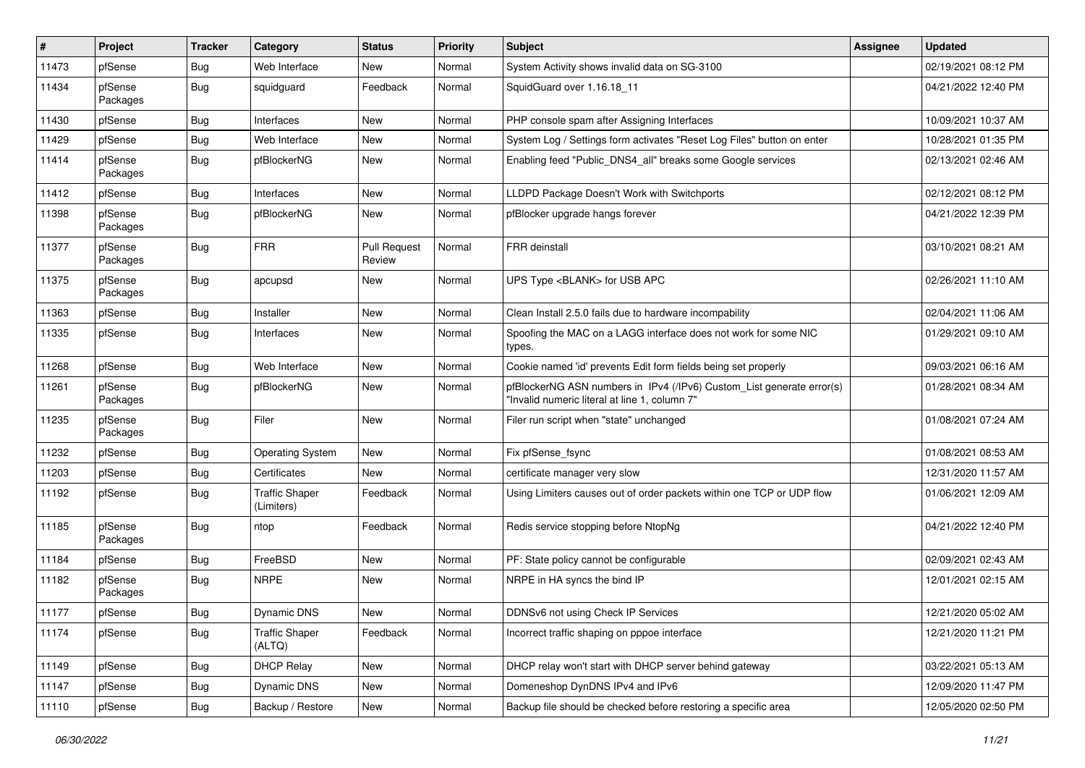| ∦     | Project             | <b>Tracker</b> | <b>Category</b>                     | <b>Status</b>                 | <b>Priority</b> | <b>Subject</b>                                                                                                         | <b>Assignee</b> | <b>Updated</b>      |
|-------|---------------------|----------------|-------------------------------------|-------------------------------|-----------------|------------------------------------------------------------------------------------------------------------------------|-----------------|---------------------|
| 11473 | pfSense             | <b>Bug</b>     | Web Interface                       | New                           | Normal          | System Activity shows invalid data on SG-3100                                                                          |                 | 02/19/2021 08:12 PM |
| 11434 | pfSense<br>Packages | <b>Bug</b>     | squidguard                          | Feedback                      | Normal          | SquidGuard over 1.16.18 11                                                                                             |                 | 04/21/2022 12:40 PM |
| 11430 | pfSense             | Bug            | Interfaces                          | <b>New</b>                    | Normal          | PHP console spam after Assigning Interfaces                                                                            |                 | 10/09/2021 10:37 AM |
| 11429 | pfSense             | Bug            | Web Interface                       | <b>New</b>                    | Normal          | System Log / Settings form activates "Reset Log Files" button on enter                                                 |                 | 10/28/2021 01:35 PM |
| 11414 | pfSense<br>Packages | Bug            | pfBlockerNG                         | New                           | Normal          | Enabling feed "Public_DNS4_all" breaks some Google services                                                            |                 | 02/13/2021 02:46 AM |
| 11412 | pfSense             | Bug            | Interfaces                          | New                           | Normal          | LLDPD Package Doesn't Work with Switchports                                                                            |                 | 02/12/2021 08:12 PM |
| 11398 | pfSense<br>Packages | Bug            | pfBlockerNG                         | <b>New</b>                    | Normal          | pfBlocker upgrade hangs forever                                                                                        |                 | 04/21/2022 12:39 PM |
| 11377 | pfSense<br>Packages | Bug            | <b>FRR</b>                          | <b>Pull Request</b><br>Review | Normal          | FRR deinstall                                                                                                          |                 | 03/10/2021 08:21 AM |
| 11375 | pfSense<br>Packages | Bug            | apcupsd                             | <b>New</b>                    | Normal          | UPS Type <blank> for USB APC</blank>                                                                                   |                 | 02/26/2021 11:10 AM |
| 11363 | pfSense             | Bug            | Installer                           | New                           | Normal          | Clean Install 2.5.0 fails due to hardware incompability                                                                |                 | 02/04/2021 11:06 AM |
| 11335 | pfSense             | Bug            | Interfaces                          | <b>New</b>                    | Normal          | Spoofing the MAC on a LAGG interface does not work for some NIC<br>types.                                              |                 | 01/29/2021 09:10 AM |
| 11268 | pfSense             | Bug            | Web Interface                       | <b>New</b>                    | Normal          | Cookie named 'id' prevents Edit form fields being set properly                                                         |                 | 09/03/2021 06:16 AM |
| 11261 | pfSense<br>Packages | Bug            | pfBlockerNG                         | New                           | Normal          | pfBlockerNG ASN numbers in IPv4 (/IPv6) Custom_List generate error(s)<br>"Invalid numeric literal at line 1, column 7" |                 | 01/28/2021 08:34 AM |
| 11235 | pfSense<br>Packages | Bug            | Filer                               | <b>New</b>                    | Normal          | Filer run script when "state" unchanged                                                                                |                 | 01/08/2021 07:24 AM |
| 11232 | pfSense             | Bug            | <b>Operating System</b>             | <b>New</b>                    | Normal          | Fix pfSense_fsync                                                                                                      |                 | 01/08/2021 08:53 AM |
| 11203 | pfSense             | Bug            | Certificates                        | <b>New</b>                    | Normal          | certificate manager very slow                                                                                          |                 | 12/31/2020 11:57 AM |
| 11192 | pfSense             | Bug            | <b>Traffic Shaper</b><br>(Limiters) | Feedback                      | Normal          | Using Limiters causes out of order packets within one TCP or UDP flow                                                  |                 | 01/06/2021 12:09 AM |
| 11185 | pfSense<br>Packages | Bug            | ntop                                | Feedback                      | Normal          | Redis service stopping before NtopNg                                                                                   |                 | 04/21/2022 12:40 PM |
| 11184 | pfSense             | Bug            | FreeBSD                             | New                           | Normal          | PF: State policy cannot be configurable                                                                                |                 | 02/09/2021 02:43 AM |
| 11182 | pfSense<br>Packages | Bug            | <b>NRPE</b>                         | New                           | Normal          | NRPE in HA syncs the bind IP                                                                                           |                 | 12/01/2021 02:15 AM |
| 11177 | pfSense             | Bug            | Dynamic DNS                         | New                           | Normal          | DDNSv6 not using Check IP Services                                                                                     |                 | 12/21/2020 05:02 AM |
| 11174 | pfSense             | <b>Bug</b>     | <b>Traffic Shaper</b><br>(ALTQ)     | Feedback                      | Normal          | Incorrect traffic shaping on pppoe interface                                                                           |                 | 12/21/2020 11:21 PM |
| 11149 | pfSense             | <b>Bug</b>     | <b>DHCP Relay</b>                   | New                           | Normal          | DHCP relay won't start with DHCP server behind gateway                                                                 |                 | 03/22/2021 05:13 AM |
| 11147 | pfSense             | <b>Bug</b>     | Dynamic DNS                         | New                           | Normal          | Domeneshop DynDNS IPv4 and IPv6                                                                                        |                 | 12/09/2020 11:47 PM |
| 11110 | pfSense             | <b>Bug</b>     | Backup / Restore                    | New                           | Normal          | Backup file should be checked before restoring a specific area                                                         |                 | 12/05/2020 02:50 PM |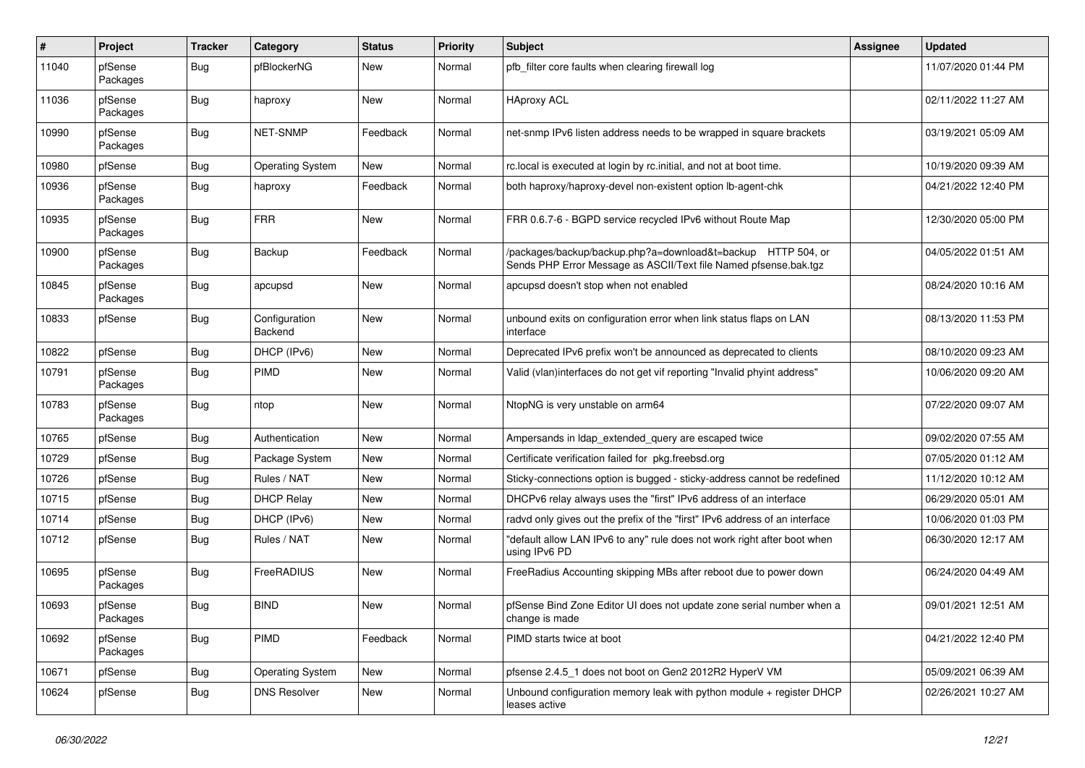| $\pmb{\#}$ | Project             | <b>Tracker</b> | Category                 | <b>Status</b> | <b>Priority</b> | <b>Subject</b>                                                                                                                   | <b>Assignee</b> | <b>Updated</b>      |
|------------|---------------------|----------------|--------------------------|---------------|-----------------|----------------------------------------------------------------------------------------------------------------------------------|-----------------|---------------------|
| 11040      | pfSense<br>Packages | Bug            | pfBlockerNG              | New           | Normal          | pfb filter core faults when clearing firewall log                                                                                |                 | 11/07/2020 01:44 PM |
| 11036      | pfSense<br>Packages | Bug            | haproxy                  | New           | Normal          | <b>HAproxy ACL</b>                                                                                                               |                 | 02/11/2022 11:27 AM |
| 10990      | pfSense<br>Packages | <b>Bug</b>     | NET-SNMP                 | Feedback      | Normal          | net-snmp IPv6 listen address needs to be wrapped in square brackets                                                              |                 | 03/19/2021 05:09 AM |
| 10980      | pfSense             | Bug            | Operating System         | New           | Normal          | rc.local is executed at login by rc.initial, and not at boot time.                                                               |                 | 10/19/2020 09:39 AM |
| 10936      | pfSense<br>Packages | Bug            | haproxy                  | Feedback      | Normal          | both haproxy/haproxy-devel non-existent option lb-agent-chk                                                                      |                 | 04/21/2022 12:40 PM |
| 10935      | pfSense<br>Packages | Bug            | <b>FRR</b>               | New           | Normal          | FRR 0.6.7-6 - BGPD service recycled IPv6 without Route Map                                                                       |                 | 12/30/2020 05:00 PM |
| 10900      | pfSense<br>Packages | Bug            | Backup                   | Feedback      | Normal          | /packages/backup/backup.php?a=download&t=backup HTTP 504, or<br>Sends PHP Error Message as ASCII/Text file Named pfsense.bak.tgz |                 | 04/05/2022 01:51 AM |
| 10845      | pfSense<br>Packages | Bug            | apcupsd                  | New           | Normal          | apcupsd doesn't stop when not enabled                                                                                            |                 | 08/24/2020 10:16 AM |
| 10833      | pfSense             | Bug            | Configuration<br>Backend | New           | Normal          | unbound exits on configuration error when link status flaps on LAN<br>interface                                                  |                 | 08/13/2020 11:53 PM |
| 10822      | pfSense             | Bug            | DHCP (IPv6)              | New           | Normal          | Deprecated IPv6 prefix won't be announced as deprecated to clients                                                               |                 | 08/10/2020 09:23 AM |
| 10791      | pfSense<br>Packages | <b>Bug</b>     | PIMD                     | New           | Normal          | Valid (vlan)interfaces do not get vif reporting "Invalid phyint address"                                                         |                 | 10/06/2020 09:20 AM |
| 10783      | pfSense<br>Packages | <b>Bug</b>     | ntop                     | New           | Normal          | NtopNG is very unstable on arm64                                                                                                 |                 | 07/22/2020 09:07 AM |
| 10765      | pfSense             | Bug            | Authentication           | New           | Normal          | Ampersands in Idap_extended_query are escaped twice                                                                              |                 | 09/02/2020 07:55 AM |
| 10729      | pfSense             | Bug            | Package System           | New           | Normal          | Certificate verification failed for pkg.freebsd.org                                                                              |                 | 07/05/2020 01:12 AM |
| 10726      | pfSense             | Bug            | Rules / NAT              | New           | Normal          | Sticky-connections option is bugged - sticky-address cannot be redefined                                                         |                 | 11/12/2020 10:12 AM |
| 10715      | pfSense             | Bug            | <b>DHCP Relay</b>        | New           | Normal          | DHCPv6 relay always uses the "first" IPv6 address of an interface                                                                |                 | 06/29/2020 05:01 AM |
| 10714      | pfSense             | Bug            | DHCP (IPv6)              | New           | Normal          | radvd only gives out the prefix of the "first" IPv6 address of an interface                                                      |                 | 10/06/2020 01:03 PM |
| 10712      | pfSense             | Bug            | Rules / NAT              | New           | Normal          | "default allow LAN IPv6 to any" rule does not work right after boot when<br>using IPv6 PD                                        |                 | 06/30/2020 12:17 AM |
| 10695      | pfSense<br>Packages | Bug            | FreeRADIUS               | New           | Normal          | FreeRadius Accounting skipping MBs after reboot due to power down                                                                |                 | 06/24/2020 04:49 AM |
| 10693      | pfSense<br>Packages | <b>Bug</b>     | <b>BIND</b>              | New           | Normal          | pfSense Bind Zone Editor UI does not update zone serial number when a<br>change is made                                          |                 | 09/01/2021 12:51 AM |
| 10692      | pfSense<br>Packages | <b>Bug</b>     | PIMD                     | Feedback      | Normal          | PIMD starts twice at boot                                                                                                        |                 | 04/21/2022 12:40 PM |
| 10671      | pfSense             | <b>Bug</b>     | <b>Operating System</b>  | New           | Normal          | pfsense 2.4.5_1 does not boot on Gen2 2012R2 HyperV VM                                                                           |                 | 05/09/2021 06:39 AM |
| 10624      | pfSense             | <b>Bug</b>     | <b>DNS Resolver</b>      | New           | Normal          | Unbound configuration memory leak with python module + register DHCP<br>leases active                                            |                 | 02/26/2021 10:27 AM |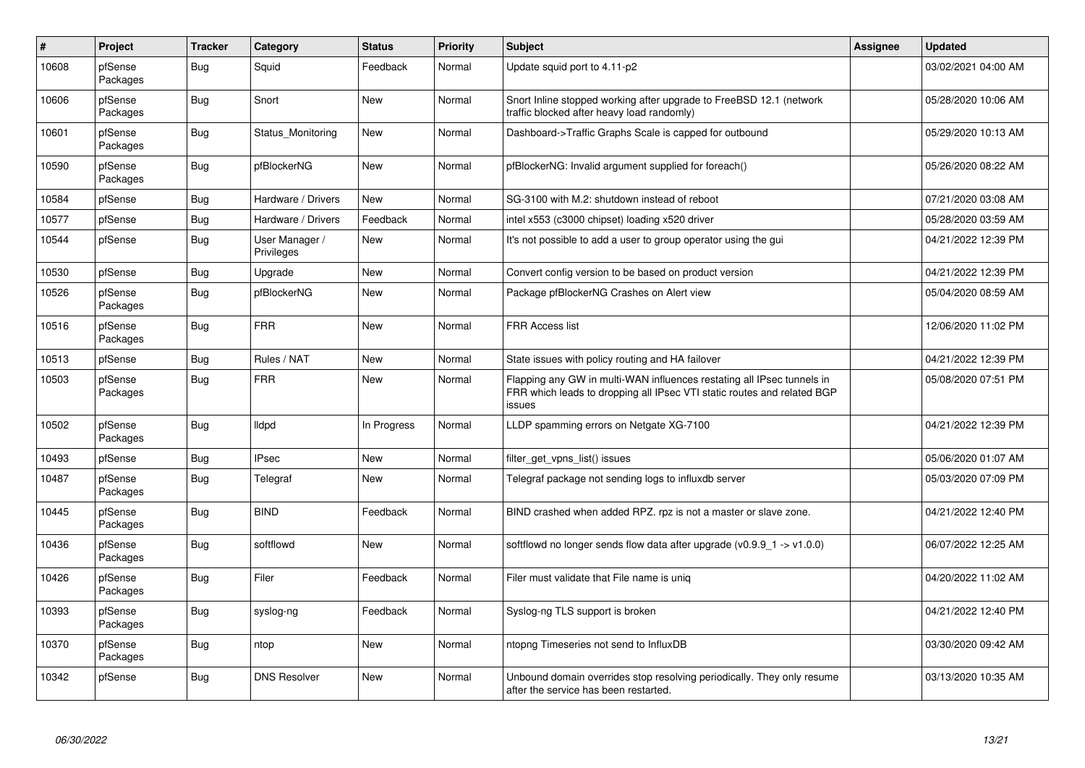| #     | Project             | <b>Tracker</b> | Category                     | <b>Status</b> | <b>Priority</b> | <b>Subject</b>                                                                                                                                              | Assignee | <b>Updated</b>      |
|-------|---------------------|----------------|------------------------------|---------------|-----------------|-------------------------------------------------------------------------------------------------------------------------------------------------------------|----------|---------------------|
| 10608 | pfSense<br>Packages | Bug            | Squid                        | Feedback      | Normal          | Update squid port to 4.11-p2                                                                                                                                |          | 03/02/2021 04:00 AM |
| 10606 | pfSense<br>Packages | Bug            | Snort                        | <b>New</b>    | Normal          | Snort Inline stopped working after upgrade to FreeBSD 12.1 (network<br>traffic blocked after heavy load randomly)                                           |          | 05/28/2020 10:06 AM |
| 10601 | pfSense<br>Packages | <b>Bug</b>     | Status_Monitoring            | <b>New</b>    | Normal          | Dashboard->Traffic Graphs Scale is capped for outbound                                                                                                      |          | 05/29/2020 10:13 AM |
| 10590 | pfSense<br>Packages | Bug            | pfBlockerNG                  | <b>New</b>    | Normal          | pfBlockerNG: Invalid argument supplied for foreach()                                                                                                        |          | 05/26/2020 08:22 AM |
| 10584 | pfSense             | Bug            | Hardware / Drivers           | <b>New</b>    | Normal          | SG-3100 with M.2: shutdown instead of reboot                                                                                                                |          | 07/21/2020 03:08 AM |
| 10577 | pfSense             | Bug            | Hardware / Drivers           | Feedback      | Normal          | intel x553 (c3000 chipset) loading x520 driver                                                                                                              |          | 05/28/2020 03:59 AM |
| 10544 | pfSense             | Bug            | User Manager /<br>Privileges | New           | Normal          | It's not possible to add a user to group operator using the gui                                                                                             |          | 04/21/2022 12:39 PM |
| 10530 | pfSense             | <b>Bug</b>     | Upgrade                      | <b>New</b>    | Normal          | Convert config version to be based on product version                                                                                                       |          | 04/21/2022 12:39 PM |
| 10526 | pfSense<br>Packages | Bug            | pfBlockerNG                  | New           | Normal          | Package pfBlockerNG Crashes on Alert view                                                                                                                   |          | 05/04/2020 08:59 AM |
| 10516 | pfSense<br>Packages | Bug            | <b>FRR</b>                   | <b>New</b>    | Normal          | <b>FRR Access list</b>                                                                                                                                      |          | 12/06/2020 11:02 PM |
| 10513 | pfSense             | <b>Bug</b>     | Rules / NAT                  | <b>New</b>    | Normal          | State issues with policy routing and HA failover                                                                                                            |          | 04/21/2022 12:39 PM |
| 10503 | pfSense<br>Packages | Bug            | <b>FRR</b>                   | New           | Normal          | Flapping any GW in multi-WAN influences restating all IPsec tunnels in<br>FRR which leads to dropping all IPsec VTI static routes and related BGP<br>issues |          | 05/08/2020 07:51 PM |
| 10502 | pfSense<br>Packages | <b>Bug</b>     | lldpd                        | In Progress   | Normal          | LLDP spamming errors on Netgate XG-7100                                                                                                                     |          | 04/21/2022 12:39 PM |
| 10493 | pfSense             | <b>Bug</b>     | <b>IPsec</b>                 | <b>New</b>    | Normal          | filter_get_vpns_list() issues                                                                                                                               |          | 05/06/2020 01:07 AM |
| 10487 | pfSense<br>Packages | <b>Bug</b>     | Telegraf                     | New           | Normal          | Telegraf package not sending logs to influxdb server                                                                                                        |          | 05/03/2020 07:09 PM |
| 10445 | pfSense<br>Packages | Bug            | <b>BIND</b>                  | Feedback      | Normal          | BIND crashed when added RPZ. rpz is not a master or slave zone.                                                                                             |          | 04/21/2022 12:40 PM |
| 10436 | pfSense<br>Packages | Bug            | softflowd                    | <b>New</b>    | Normal          | softflowd no longer sends flow data after upgrade $(v0.9.9 - 1 - v1.0.0)$                                                                                   |          | 06/07/2022 12:25 AM |
| 10426 | pfSense<br>Packages | Bug            | Filer                        | Feedback      | Normal          | Filer must validate that File name is uniq                                                                                                                  |          | 04/20/2022 11:02 AM |
| 10393 | pfSense<br>Packages | Bug            | syslog-ng                    | Feedback      | Normal          | Syslog-ng TLS support is broken                                                                                                                             |          | 04/21/2022 12:40 PM |
| 10370 | pfSense<br>Packages | Bug            | ntop                         | New           | Normal          | ntopng Timeseries not send to InfluxDB                                                                                                                      |          | 03/30/2020 09:42 AM |
| 10342 | pfSense             | Bug            | <b>DNS Resolver</b>          | <b>New</b>    | Normal          | Unbound domain overrides stop resolving periodically. They only resume<br>after the service has been restarted.                                             |          | 03/13/2020 10:35 AM |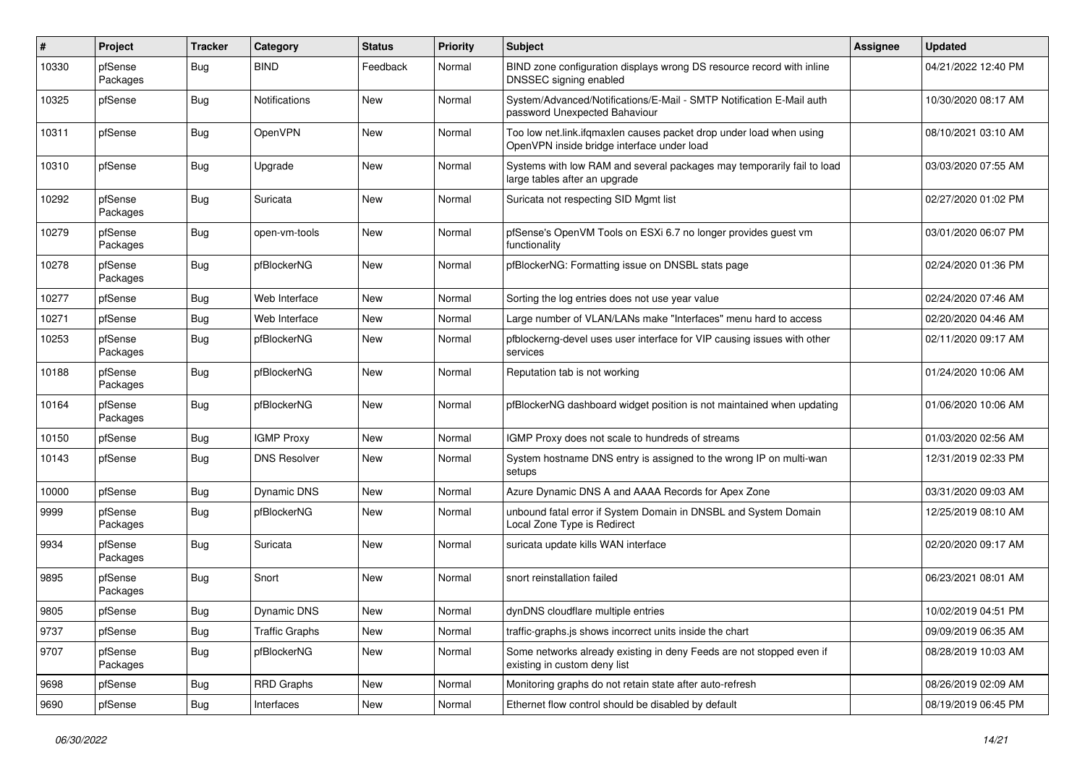| $\pmb{\#}$ | Project             | <b>Tracker</b> | Category              | <b>Status</b> | <b>Priority</b> | <b>Subject</b>                                                                                                    | Assignee | <b>Updated</b>      |
|------------|---------------------|----------------|-----------------------|---------------|-----------------|-------------------------------------------------------------------------------------------------------------------|----------|---------------------|
| 10330      | pfSense<br>Packages | Bug            | <b>BIND</b>           | Feedback      | Normal          | BIND zone configuration displays wrong DS resource record with inline<br>DNSSEC signing enabled                   |          | 04/21/2022 12:40 PM |
| 10325      | pfSense             | Bug            | Notifications         | <b>New</b>    | Normal          | System/Advanced/Notifications/E-Mail - SMTP Notification E-Mail auth<br>password Unexpected Bahaviour             |          | 10/30/2020 08:17 AM |
| 10311      | pfSense             | Bug            | OpenVPN               | New           | Normal          | Too low net.link.ifqmaxlen causes packet drop under load when using<br>OpenVPN inside bridge interface under load |          | 08/10/2021 03:10 AM |
| 10310      | pfSense             | Bug            | Upgrade               | New           | Normal          | Systems with low RAM and several packages may temporarily fail to load<br>large tables after an upgrade           |          | 03/03/2020 07:55 AM |
| 10292      | pfSense<br>Packages | Bug            | Suricata              | New           | Normal          | Suricata not respecting SID Mgmt list                                                                             |          | 02/27/2020 01:02 PM |
| 10279      | pfSense<br>Packages | <b>Bug</b>     | open-vm-tools         | New           | Normal          | pfSense's OpenVM Tools on ESXi 6.7 no longer provides guest vm<br>functionality                                   |          | 03/01/2020 06:07 PM |
| 10278      | pfSense<br>Packages | Bug            | pfBlockerNG           | New           | Normal          | pfBlockerNG: Formatting issue on DNSBL stats page                                                                 |          | 02/24/2020 01:36 PM |
| 10277      | pfSense             | Bug            | Web Interface         | New           | Normal          | Sorting the log entries does not use year value                                                                   |          | 02/24/2020 07:46 AM |
| 10271      | pfSense             | Bug            | Web Interface         | New           | Normal          | Large number of VLAN/LANs make "Interfaces" menu hard to access                                                   |          | 02/20/2020 04:46 AM |
| 10253      | pfSense<br>Packages | Bug            | pfBlockerNG           | New           | Normal          | pfblockerng-devel uses user interface for VIP causing issues with other<br>services                               |          | 02/11/2020 09:17 AM |
| 10188      | pfSense<br>Packages | <b>Bug</b>     | pfBlockerNG           | New           | Normal          | Reputation tab is not working                                                                                     |          | 01/24/2020 10:06 AM |
| 10164      | pfSense<br>Packages | <b>Bug</b>     | pfBlockerNG           | New           | Normal          | pfBlockerNG dashboard widget position is not maintained when updating                                             |          | 01/06/2020 10:06 AM |
| 10150      | pfSense             | Bug            | <b>IGMP Proxy</b>     | New           | Normal          | IGMP Proxy does not scale to hundreds of streams                                                                  |          | 01/03/2020 02:56 AM |
| 10143      | pfSense             | Bug            | <b>DNS Resolver</b>   | New           | Normal          | System hostname DNS entry is assigned to the wrong IP on multi-wan<br>setups                                      |          | 12/31/2019 02:33 PM |
| 10000      | pfSense             | <b>Bug</b>     | Dynamic DNS           | New           | Normal          | Azure Dynamic DNS A and AAAA Records for Apex Zone                                                                |          | 03/31/2020 09:03 AM |
| 9999       | pfSense<br>Packages | <b>Bug</b>     | pfBlockerNG           | New           | Normal          | unbound fatal error if System Domain in DNSBL and System Domain<br>Local Zone Type is Redirect                    |          | 12/25/2019 08:10 AM |
| 9934       | pfSense<br>Packages | <b>Bug</b>     | Suricata              | New           | Normal          | suricata update kills WAN interface                                                                               |          | 02/20/2020 09:17 AM |
| 9895       | pfSense<br>Packages | Bug            | Snort                 | New           | Normal          | snort reinstallation failed                                                                                       |          | 06/23/2021 08:01 AM |
| 9805       | pfSense             | Bug            | Dynamic DNS           | New           | Normal          | dynDNS cloudflare multiple entries                                                                                |          | 10/02/2019 04:51 PM |
| 9737       | pfSense             | <b>Bug</b>     | <b>Traffic Graphs</b> | New           | Normal          | traffic-graphs.js shows incorrect units inside the chart                                                          |          | 09/09/2019 06:35 AM |
| 9707       | pfSense<br>Packages | <b>Bug</b>     | pfBlockerNG           | New           | Normal          | Some networks already existing in deny Feeds are not stopped even if<br>existing in custom deny list              |          | 08/28/2019 10:03 AM |
| 9698       | pfSense             | <b>Bug</b>     | <b>RRD Graphs</b>     | New           | Normal          | Monitoring graphs do not retain state after auto-refresh                                                          |          | 08/26/2019 02:09 AM |
| 9690       | pfSense             | Bug            | Interfaces            | New           | Normal          | Ethernet flow control should be disabled by default                                                               |          | 08/19/2019 06:45 PM |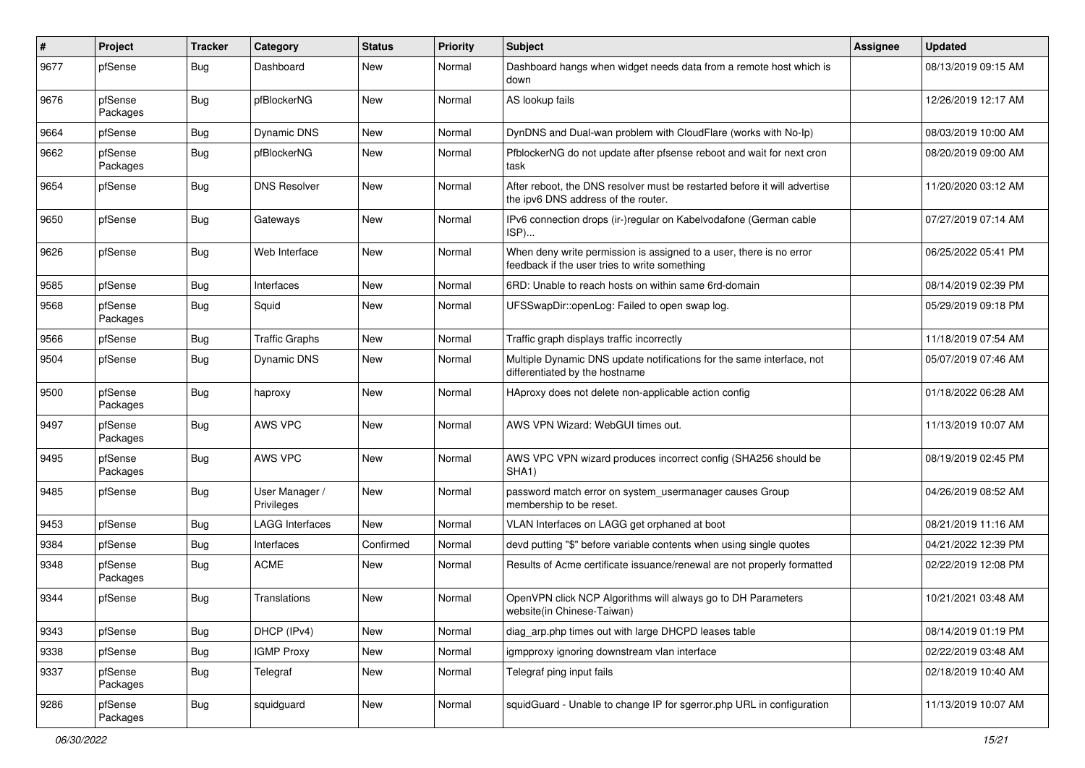| #    | Project             | <b>Tracker</b> | Category                     | <b>Status</b> | <b>Priority</b> | <b>Subject</b>                                                                                                       | <b>Assignee</b> | <b>Updated</b>      |
|------|---------------------|----------------|------------------------------|---------------|-----------------|----------------------------------------------------------------------------------------------------------------------|-----------------|---------------------|
| 9677 | pfSense             | <b>Bug</b>     | Dashboard                    | New           | Normal          | Dashboard hangs when widget needs data from a remote host which is<br>down                                           |                 | 08/13/2019 09:15 AM |
| 9676 | pfSense<br>Packages | Bug            | pfBlockerNG                  | New           | Normal          | AS lookup fails                                                                                                      |                 | 12/26/2019 12:17 AM |
| 9664 | pfSense             | Bug            | <b>Dynamic DNS</b>           | New           | Normal          | DynDNS and Dual-wan problem with CloudFlare (works with No-Ip)                                                       |                 | 08/03/2019 10:00 AM |
| 9662 | pfSense<br>Packages | Bug            | pfBlockerNG                  | New           | Normal          | PfblockerNG do not update after pfsense reboot and wait for next cron<br>task                                        |                 | 08/20/2019 09:00 AM |
| 9654 | pfSense             | Bug            | <b>DNS Resolver</b>          | New           | Normal          | After reboot, the DNS resolver must be restarted before it will advertise<br>the ipv6 DNS address of the router.     |                 | 11/20/2020 03:12 AM |
| 9650 | pfSense             | <b>Bug</b>     | Gateways                     | New           | Normal          | IPv6 connection drops (ir-)regular on Kabelvodafone (German cable<br>ISP)                                            |                 | 07/27/2019 07:14 AM |
| 9626 | pfSense             | Bug            | Web Interface                | New           | Normal          | When deny write permission is assigned to a user, there is no error<br>feedback if the user tries to write something |                 | 06/25/2022 05:41 PM |
| 9585 | pfSense             | <b>Bug</b>     | Interfaces                   | New           | Normal          | 6RD: Unable to reach hosts on within same 6rd-domain                                                                 |                 | 08/14/2019 02:39 PM |
| 9568 | pfSense<br>Packages | Bug            | Squid                        | New           | Normal          | UFSSwapDir::openLog: Failed to open swap log.                                                                        |                 | 05/29/2019 09:18 PM |
| 9566 | pfSense             | <b>Bug</b>     | <b>Traffic Graphs</b>        | New           | Normal          | Traffic graph displays traffic incorrectly                                                                           |                 | 11/18/2019 07:54 AM |
| 9504 | pfSense             | Bug            | <b>Dynamic DNS</b>           | New           | Normal          | Multiple Dynamic DNS update notifications for the same interface, not<br>differentiated by the hostname              |                 | 05/07/2019 07:46 AM |
| 9500 | pfSense<br>Packages | Bug            | haproxy                      | New           | Normal          | HAproxy does not delete non-applicable action config                                                                 |                 | 01/18/2022 06:28 AM |
| 9497 | pfSense<br>Packages | Bug            | <b>AWS VPC</b>               | New           | Normal          | AWS VPN Wizard: WebGUI times out.                                                                                    |                 | 11/13/2019 10:07 AM |
| 9495 | pfSense<br>Packages | <b>Bug</b>     | AWS VPC                      | <b>New</b>    | Normal          | AWS VPC VPN wizard produces incorrect config (SHA256 should be<br>SHA <sub>1</sub> )                                 |                 | 08/19/2019 02:45 PM |
| 9485 | pfSense             | Bug            | User Manager /<br>Privileges | New           | Normal          | password match error on system_usermanager causes Group<br>membership to be reset.                                   |                 | 04/26/2019 08:52 AM |
| 9453 | pfSense             | <b>Bug</b>     | <b>LAGG Interfaces</b>       | New           | Normal          | VLAN Interfaces on LAGG get orphaned at boot                                                                         |                 | 08/21/2019 11:16 AM |
| 9384 | pfSense             | Bug            | Interfaces                   | Confirmed     | Normal          | devd putting "\$" before variable contents when using single quotes                                                  |                 | 04/21/2022 12:39 PM |
| 9348 | pfSense<br>Packages | Bug            | <b>ACME</b>                  | New           | Normal          | Results of Acme certificate issuance/renewal are not properly formatted                                              |                 | 02/22/2019 12:08 PM |
| 9344 | pfSense             | Bug            | Translations                 | New           | Normal          | OpenVPN click NCP Algorithms will always go to DH Parameters<br>website(in Chinese-Taiwan)                           |                 | 10/21/2021 03:48 AM |
| 9343 | pfSense             | <b>Bug</b>     | DHCP (IPv4)                  | New           | Normal          | diag_arp.php times out with large DHCPD leases table                                                                 |                 | 08/14/2019 01:19 PM |
| 9338 | pfSense             | <b>Bug</b>     | <b>IGMP Proxy</b>            | New           | Normal          | igmpproxy ignoring downstream vlan interface                                                                         |                 | 02/22/2019 03:48 AM |
| 9337 | pfSense<br>Packages | <b>Bug</b>     | Telegraf                     | New           | Normal          | Telegraf ping input fails                                                                                            |                 | 02/18/2019 10:40 AM |
| 9286 | pfSense<br>Packages | <b>Bug</b>     | squidguard                   | New           | Normal          | squidGuard - Unable to change IP for sgerror.php URL in configuration                                                |                 | 11/13/2019 10:07 AM |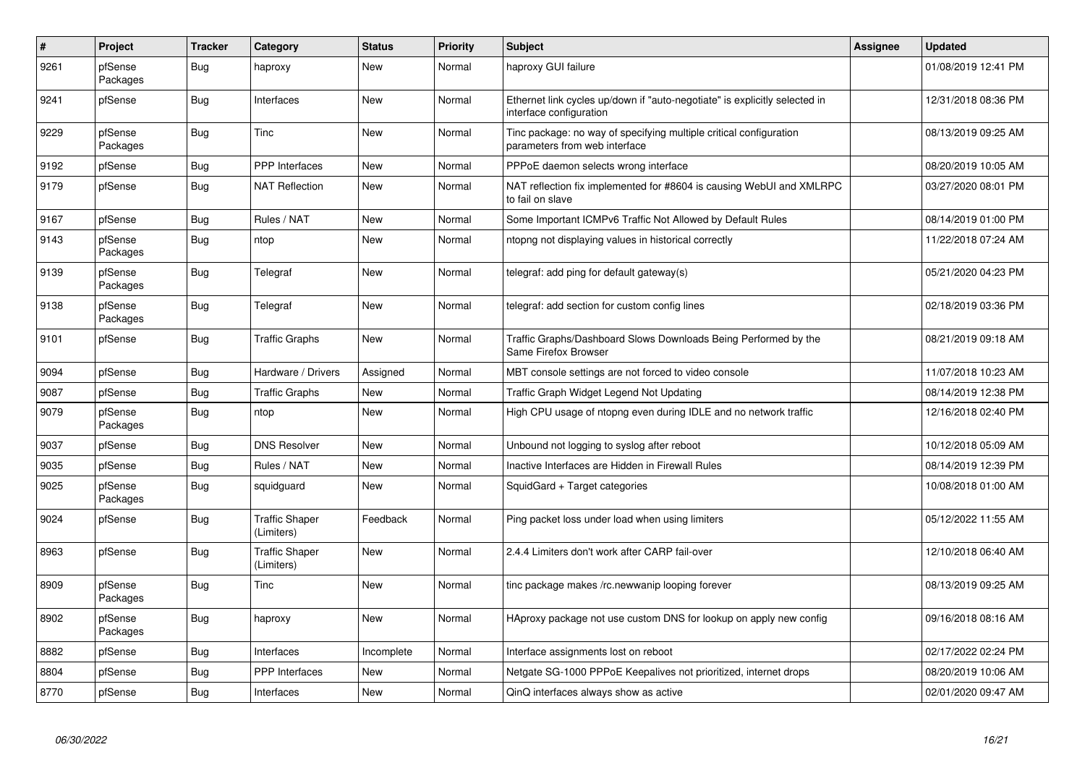| $\vert$ # | Project             | <b>Tracker</b> | Category                            | <b>Status</b> | <b>Priority</b> | <b>Subject</b>                                                                                        | Assignee | Updated             |
|-----------|---------------------|----------------|-------------------------------------|---------------|-----------------|-------------------------------------------------------------------------------------------------------|----------|---------------------|
| 9261      | pfSense<br>Packages | <b>Bug</b>     | haproxy                             | <b>New</b>    | Normal          | haproxy GUI failure                                                                                   |          | 01/08/2019 12:41 PM |
| 9241      | pfSense             | <b>Bug</b>     | Interfaces                          | <b>New</b>    | Normal          | Ethernet link cycles up/down if "auto-negotiate" is explicitly selected in<br>interface configuration |          | 12/31/2018 08:36 PM |
| 9229      | pfSense<br>Packages | <b>Bug</b>     | <b>Tinc</b>                         | <b>New</b>    | Normal          | Tinc package: no way of specifying multiple critical configuration<br>parameters from web interface   |          | 08/13/2019 09:25 AM |
| 9192      | pfSense             | Bug            | PPP Interfaces                      | <b>New</b>    | Normal          | PPPoE daemon selects wrong interface                                                                  |          | 08/20/2019 10:05 AM |
| 9179      | pfSense             | <b>Bug</b>     | <b>NAT Reflection</b>               | New           | Normal          | NAT reflection fix implemented for #8604 is causing WebUI and XMLRPC<br>to fail on slave              |          | 03/27/2020 08:01 PM |
| 9167      | pfSense             | <b>Bug</b>     | Rules / NAT                         | <b>New</b>    | Normal          | Some Important ICMPv6 Traffic Not Allowed by Default Rules                                            |          | 08/14/2019 01:00 PM |
| 9143      | pfSense<br>Packages | <b>Bug</b>     | ntop                                | <b>New</b>    | Normal          | ntopng not displaying values in historical correctly                                                  |          | 11/22/2018 07:24 AM |
| 9139      | pfSense<br>Packages | <b>Bug</b>     | Telegraf                            | <b>New</b>    | Normal          | telegraf: add ping for default gateway(s)                                                             |          | 05/21/2020 04:23 PM |
| 9138      | pfSense<br>Packages | Bug            | Telegraf                            | <b>New</b>    | Normal          | telegraf: add section for custom config lines                                                         |          | 02/18/2019 03:36 PM |
| 9101      | pfSense             | Bug            | <b>Traffic Graphs</b>               | <b>New</b>    | Normal          | Traffic Graphs/Dashboard Slows Downloads Being Performed by the<br>Same Firefox Browser               |          | 08/21/2019 09:18 AM |
| 9094      | pfSense             | Bug            | Hardware / Drivers                  | Assigned      | Normal          | MBT console settings are not forced to video console                                                  |          | 11/07/2018 10:23 AM |
| 9087      | pfSense             | Bug            | <b>Traffic Graphs</b>               | <b>New</b>    | Normal          | Traffic Graph Widget Legend Not Updating                                                              |          | 08/14/2019 12:38 PM |
| 9079      | pfSense<br>Packages | Bug            | ntop                                | <b>New</b>    | Normal          | High CPU usage of ntopng even during IDLE and no network traffic                                      |          | 12/16/2018 02:40 PM |
| 9037      | pfSense             | Bug            | <b>DNS Resolver</b>                 | <b>New</b>    | Normal          | Unbound not logging to syslog after reboot                                                            |          | 10/12/2018 05:09 AM |
| 9035      | pfSense             | <b>Bug</b>     | Rules / NAT                         | <b>New</b>    | Normal          | Inactive Interfaces are Hidden in Firewall Rules                                                      |          | 08/14/2019 12:39 PM |
| 9025      | pfSense<br>Packages | Bug            | squidguard                          | <b>New</b>    | Normal          | SquidGard + Target categories                                                                         |          | 10/08/2018 01:00 AM |
| 9024      | pfSense             | <b>Bug</b>     | <b>Traffic Shaper</b><br>(Limiters) | Feedback      | Normal          | Ping packet loss under load when using limiters                                                       |          | 05/12/2022 11:55 AM |
| 8963      | pfSense             | <b>Bug</b>     | <b>Traffic Shaper</b><br>(Limiters) | <b>New</b>    | Normal          | 2.4.4 Limiters don't work after CARP fail-over                                                        |          | 12/10/2018 06:40 AM |
| 8909      | pfSense<br>Packages | <b>Bug</b>     | Tinc                                | New           | Normal          | tinc package makes /rc.newwanip looping forever                                                       |          | 08/13/2019 09:25 AM |
| 8902      | pfSense<br>Packages | <b>Bug</b>     | haproxy                             | <b>New</b>    | Normal          | HAproxy package not use custom DNS for lookup on apply new config                                     |          | 09/16/2018 08:16 AM |
| 8882      | pfSense             | <b>Bug</b>     | Interfaces                          | Incomplete    | Normal          | Interface assignments lost on reboot                                                                  |          | 02/17/2022 02:24 PM |
| 8804      | pfSense             | <b>Bug</b>     | <b>PPP</b> Interfaces               | New           | Normal          | Netgate SG-1000 PPPoE Keepalives not prioritized, internet drops                                      |          | 08/20/2019 10:06 AM |
| 8770      | pfSense             | Bug            | Interfaces                          | New           | Normal          | QinQ interfaces always show as active                                                                 |          | 02/01/2020 09:47 AM |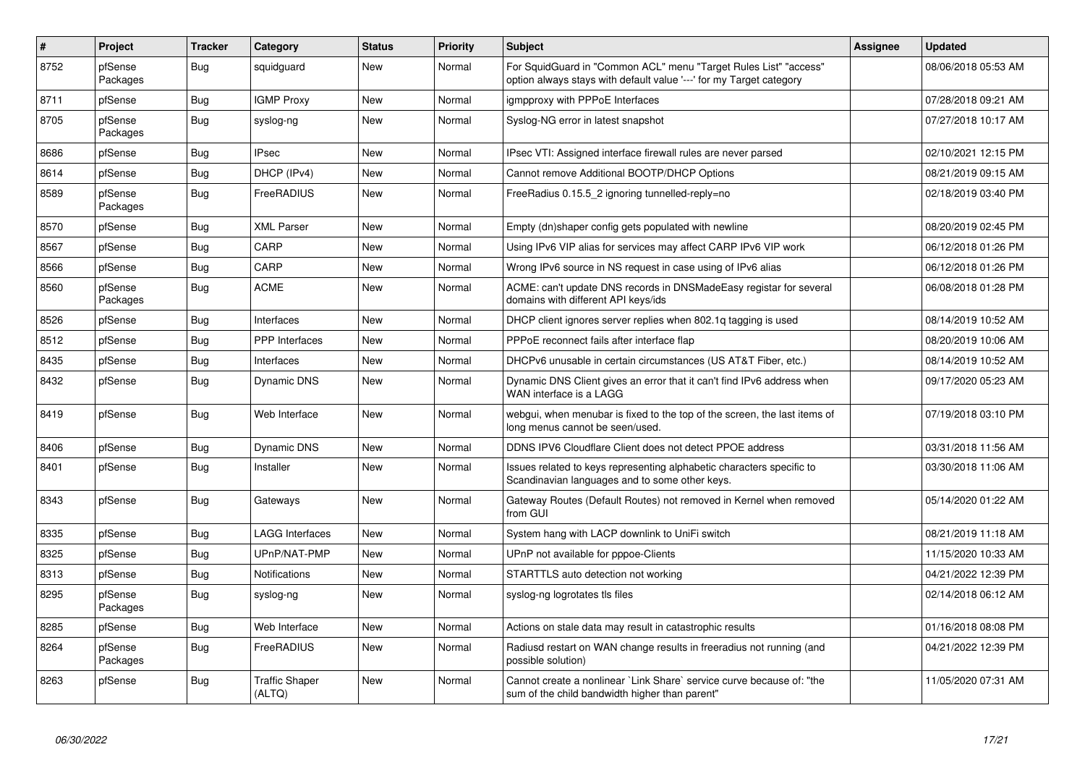| $\vert$ # | Project             | <b>Tracker</b> | Category                        | <b>Status</b> | <b>Priority</b> | <b>Subject</b>                                                                                                                          | <b>Assignee</b> | <b>Updated</b>      |
|-----------|---------------------|----------------|---------------------------------|---------------|-----------------|-----------------------------------------------------------------------------------------------------------------------------------------|-----------------|---------------------|
| 8752      | pfSense<br>Packages | Bug            | squidguard                      | New           | Normal          | For SquidGuard in "Common ACL" menu "Target Rules List" "access"<br>option always stays with default value '---' for my Target category |                 | 08/06/2018 05:53 AM |
| 8711      | pfSense             | <b>Bug</b>     | <b>IGMP Proxy</b>               | New           | Normal          | igmpproxy with PPPoE Interfaces                                                                                                         |                 | 07/28/2018 09:21 AM |
| 8705      | pfSense<br>Packages | <b>Bug</b>     | syslog-ng                       | New           | Normal          | Syslog-NG error in latest snapshot                                                                                                      |                 | 07/27/2018 10:17 AM |
| 8686      | pfSense             | <b>Bug</b>     | <b>IPsec</b>                    | New           | Normal          | IPsec VTI: Assigned interface firewall rules are never parsed                                                                           |                 | 02/10/2021 12:15 PM |
| 8614      | pfSense             | Bug            | DHCP (IPv4)                     | New           | Normal          | Cannot remove Additional BOOTP/DHCP Options                                                                                             |                 | 08/21/2019 09:15 AM |
| 8589      | pfSense<br>Packages | <b>Bug</b>     | <b>FreeRADIUS</b>               | New           | Normal          | FreeRadius 0.15.5_2 ignoring tunnelled-reply=no                                                                                         |                 | 02/18/2019 03:40 PM |
| 8570      | pfSense             | <b>Bug</b>     | <b>XML Parser</b>               | New           | Normal          | Empty (dn)shaper config gets populated with newline                                                                                     |                 | 08/20/2019 02:45 PM |
| 8567      | pfSense             | <b>Bug</b>     | CARP                            | New           | Normal          | Using IPv6 VIP alias for services may affect CARP IPv6 VIP work                                                                         |                 | 06/12/2018 01:26 PM |
| 8566      | pfSense             | <b>Bug</b>     | CARP                            | New           | Normal          | Wrong IPv6 source in NS request in case using of IPv6 alias                                                                             |                 | 06/12/2018 01:26 PM |
| 8560      | pfSense<br>Packages | <b>Bug</b>     | ACME                            | New           | Normal          | ACME: can't update DNS records in DNSMadeEasy registar for several<br>domains with different API keys/ids                               |                 | 06/08/2018 01:28 PM |
| 8526      | pfSense             | Bug            | Interfaces                      | <b>New</b>    | Normal          | DHCP client ignores server replies when 802.1q tagging is used                                                                          |                 | 08/14/2019 10:52 AM |
| 8512      | pfSense             | <b>Bug</b>     | <b>PPP</b> Interfaces           | New           | Normal          | PPPoE reconnect fails after interface flap                                                                                              |                 | 08/20/2019 10:06 AM |
| 8435      | pfSense             | <b>Bug</b>     | Interfaces                      | New           | Normal          | DHCPv6 unusable in certain circumstances (US AT&T Fiber, etc.)                                                                          |                 | 08/14/2019 10:52 AM |
| 8432      | pfSense             | Bug            | <b>Dynamic DNS</b>              | New           | Normal          | Dynamic DNS Client gives an error that it can't find IPv6 address when<br>WAN interface is a LAGG                                       |                 | 09/17/2020 05:23 AM |
| 8419      | pfSense             | <b>Bug</b>     | Web Interface                   | New           | Normal          | webgui, when menubar is fixed to the top of the screen, the last items of<br>long menus cannot be seen/used.                            |                 | 07/19/2018 03:10 PM |
| 8406      | pfSense             | <b>Bug</b>     | Dynamic DNS                     | New           | Normal          | DDNS IPV6 Cloudflare Client does not detect PPOE address                                                                                |                 | 03/31/2018 11:56 AM |
| 8401      | pfSense             | Bug            | Installer                       | New           | Normal          | Issues related to keys representing alphabetic characters specific to<br>Scandinavian languages and to some other keys.                 |                 | 03/30/2018 11:06 AM |
| 8343      | pfSense             | <b>Bug</b>     | Gateways                        | New           | Normal          | Gateway Routes (Default Routes) not removed in Kernel when removed<br>from GUI                                                          |                 | 05/14/2020 01:22 AM |
| 8335      | pfSense             | <b>Bug</b>     | <b>LAGG Interfaces</b>          | <b>New</b>    | Normal          | System hang with LACP downlink to UniFi switch                                                                                          |                 | 08/21/2019 11:18 AM |
| 8325      | pfSense             | <b>Bug</b>     | UPnP/NAT-PMP                    | <b>New</b>    | Normal          | UPnP not available for pppoe-Clients                                                                                                    |                 | 11/15/2020 10:33 AM |
| 8313      | pfSense             | Bug            | Notifications                   | <b>New</b>    | Normal          | STARTTLS auto detection not working                                                                                                     |                 | 04/21/2022 12:39 PM |
| 8295      | pfSense<br>Packages | <b>Bug</b>     | syslog-ng                       | New           | Normal          | syslog-ng logrotates tls files                                                                                                          |                 | 02/14/2018 06:12 AM |
| 8285      | pfSense             | <b>Bug</b>     | Web Interface                   | <b>New</b>    | Normal          | Actions on stale data may result in catastrophic results                                                                                |                 | 01/16/2018 08:08 PM |
| 8264      | pfSense<br>Packages | <b>Bug</b>     | FreeRADIUS                      | <b>New</b>    | Normal          | Radiusd restart on WAN change results in freeradius not running (and<br>possible solution)                                              |                 | 04/21/2022 12:39 PM |
| 8263      | pfSense             | <b>Bug</b>     | <b>Traffic Shaper</b><br>(ALTQ) | <b>New</b>    | Normal          | Cannot create a nonlinear `Link Share` service curve because of: "the<br>sum of the child bandwidth higher than parent"                 |                 | 11/05/2020 07:31 AM |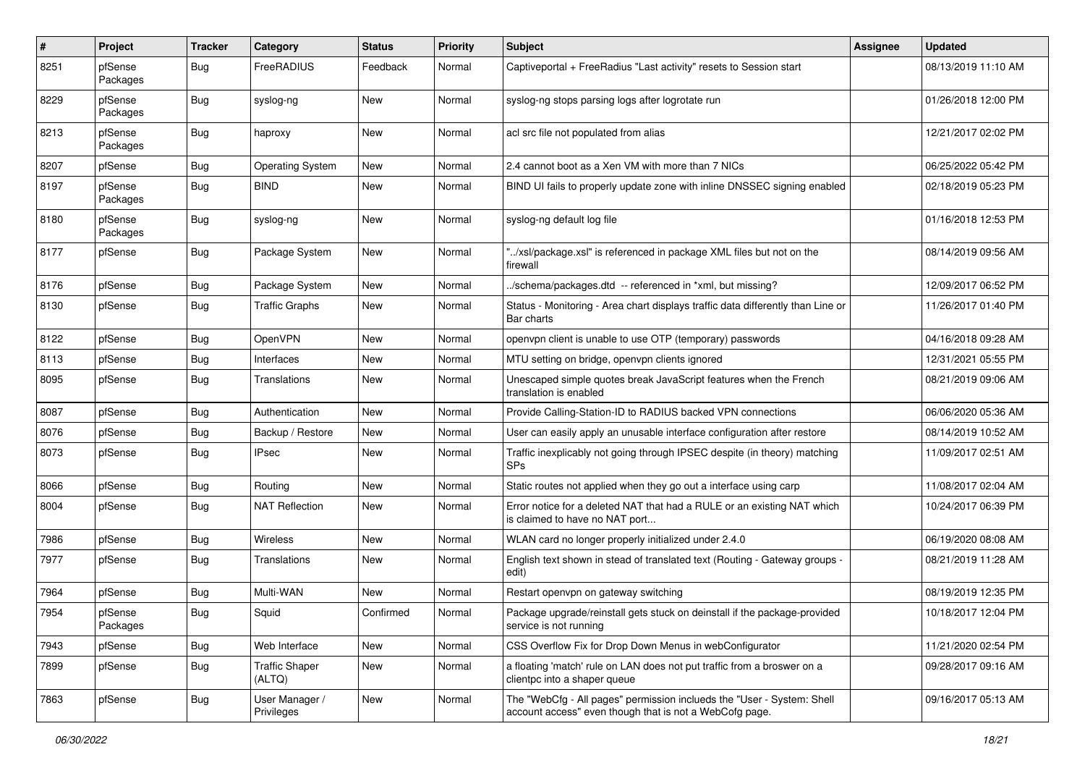| #    | <b>Project</b>      | <b>Tracker</b> | Category                        | <b>Status</b> | <b>Priority</b> | <b>Subject</b>                                                                                                                    | Assignee | <b>Updated</b>      |
|------|---------------------|----------------|---------------------------------|---------------|-----------------|-----------------------------------------------------------------------------------------------------------------------------------|----------|---------------------|
| 8251 | pfSense<br>Packages | <b>Bug</b>     | FreeRADIUS                      | Feedback      | Normal          | Captiveportal + FreeRadius "Last activity" resets to Session start                                                                |          | 08/13/2019 11:10 AM |
| 8229 | pfSense<br>Packages | <b>Bug</b>     | syslog-ng                       | New           | Normal          | syslog-ng stops parsing logs after logrotate run                                                                                  |          | 01/26/2018 12:00 PM |
| 8213 | pfSense<br>Packages | Bug            | haproxy                         | New           | Normal          | acl src file not populated from alias                                                                                             |          | 12/21/2017 02:02 PM |
| 8207 | pfSense             | Bug            | <b>Operating System</b>         | New           | Normal          | 2.4 cannot boot as a Xen VM with more than 7 NICs                                                                                 |          | 06/25/2022 05:42 PM |
| 8197 | pfSense<br>Packages | Bug            | <b>BIND</b>                     | New           | Normal          | BIND UI fails to properly update zone with inline DNSSEC signing enabled                                                          |          | 02/18/2019 05:23 PM |
| 8180 | pfSense<br>Packages | <b>Bug</b>     | syslog-ng                       | New           | Normal          | syslog-ng default log file                                                                                                        |          | 01/16/2018 12:53 PM |
| 8177 | pfSense             | Bug            | Package System                  | New           | Normal          | /xsl/package.xsl" is referenced in package XML files but not on the<br>firewall                                                   |          | 08/14/2019 09:56 AM |
| 8176 | pfSense             | <b>Bug</b>     | Package System                  | New           | Normal          | ./schema/packages.dtd -- referenced in *xml, but missing?                                                                         |          | 12/09/2017 06:52 PM |
| 8130 | pfSense             | <b>Bug</b>     | <b>Traffic Graphs</b>           | New           | Normal          | Status - Monitoring - Area chart displays traffic data differently than Line or<br>Bar charts                                     |          | 11/26/2017 01:40 PM |
| 8122 | pfSense             | <b>Bug</b>     | OpenVPN                         | New           | Normal          | openypn client is unable to use OTP (temporary) passwords                                                                         |          | 04/16/2018 09:28 AM |
| 8113 | pfSense             | Bug            | Interfaces                      | New           | Normal          | MTU setting on bridge, openvpn clients ignored                                                                                    |          | 12/31/2021 05:55 PM |
| 8095 | pfSense             | Bug            | Translations                    | New           | Normal          | Unescaped simple quotes break JavaScript features when the French<br>translation is enabled                                       |          | 08/21/2019 09:06 AM |
| 8087 | pfSense             | <b>Bug</b>     | Authentication                  | New           | Normal          | Provide Calling-Station-ID to RADIUS backed VPN connections                                                                       |          | 06/06/2020 05:36 AM |
| 8076 | pfSense             | <b>Bug</b>     | Backup / Restore                | New           | Normal          | User can easily apply an unusable interface configuration after restore                                                           |          | 08/14/2019 10:52 AM |
| 8073 | pfSense             | <b>Bug</b>     | <b>IPsec</b>                    | New           | Normal          | Traffic inexplicably not going through IPSEC despite (in theory) matching<br><b>SPs</b>                                           |          | 11/09/2017 02:51 AM |
| 8066 | pfSense             | <b>Bug</b>     | Routing                         | New           | Normal          | Static routes not applied when they go out a interface using carp                                                                 |          | 11/08/2017 02:04 AM |
| 8004 | pfSense             | <b>Bug</b>     | <b>NAT Reflection</b>           | New           | Normal          | Error notice for a deleted NAT that had a RULE or an existing NAT which<br>is claimed to have no NAT port                         |          | 10/24/2017 06:39 PM |
| 7986 | pfSense             | <b>Bug</b>     | Wireless                        | New           | Normal          | WLAN card no longer properly initialized under 2.4.0                                                                              |          | 06/19/2020 08:08 AM |
| 7977 | pfSense             | <b>Bug</b>     | Translations                    | New           | Normal          | English text shown in stead of translated text (Routing - Gateway groups -<br>edit)                                               |          | 08/21/2019 11:28 AM |
| 7964 | pfSense             | Bug            | Multi-WAN                       | New           | Normal          | Restart openvpn on gateway switching                                                                                              |          | 08/19/2019 12:35 PM |
| 7954 | pfSense<br>Packages | Bug            | Squid                           | Confirmed     | Normal          | Package upgrade/reinstall gets stuck on deinstall if the package-provided<br>service is not running                               |          | 10/18/2017 12:04 PM |
| 7943 | pfSense             | <b>Bug</b>     | Web Interface                   | New           | Normal          | CSS Overflow Fix for Drop Down Menus in webConfigurator                                                                           |          | 11/21/2020 02:54 PM |
| 7899 | pfSense             | Bug            | <b>Traffic Shaper</b><br>(ALTQ) | New           | Normal          | a floating 'match' rule on LAN does not put traffic from a broswer on a<br>clientpc into a shaper queue                           |          | 09/28/2017 09:16 AM |
| 7863 | pfSense             | <b>Bug</b>     | User Manager /<br>Privileges    | New           | Normal          | The "WebCfg - All pages" permission inclueds the "User - System: Shell<br>account access" even though that is not a WebCofg page. |          | 09/16/2017 05:13 AM |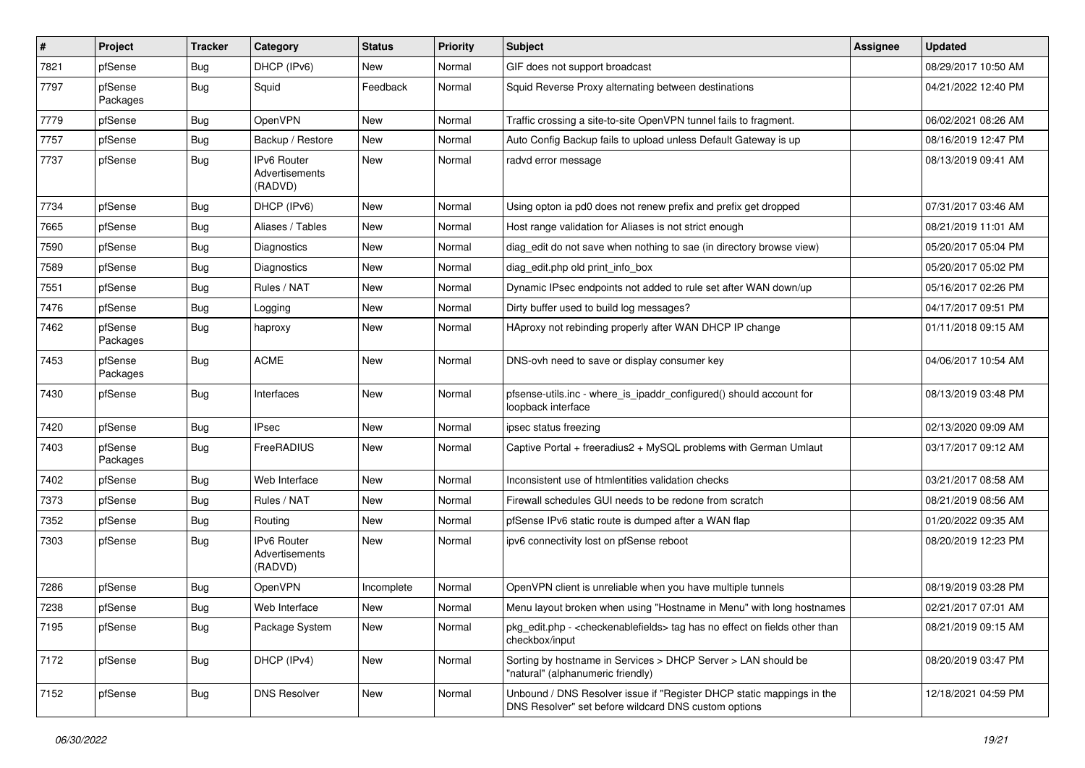| $\vert$ # | Project             | <b>Tracker</b> | Category                                 | <b>Status</b> | <b>Priority</b> | Subject                                                                                                                       | <b>Assignee</b> | <b>Updated</b>      |
|-----------|---------------------|----------------|------------------------------------------|---------------|-----------------|-------------------------------------------------------------------------------------------------------------------------------|-----------------|---------------------|
| 7821      | pfSense             | Bug            | DHCP (IPv6)                              | New           | Normal          | GIF does not support broadcast                                                                                                |                 | 08/29/2017 10:50 AM |
| 7797      | pfSense<br>Packages | Bug            | Squid                                    | Feedback      | Normal          | Squid Reverse Proxy alternating between destinations                                                                          |                 | 04/21/2022 12:40 PM |
| 7779      | pfSense             | <b>Bug</b>     | OpenVPN                                  | <b>New</b>    | Normal          | Traffic crossing a site-to-site OpenVPN tunnel fails to fragment.                                                             |                 | 06/02/2021 08:26 AM |
| 7757      | pfSense             | <b>Bug</b>     | Backup / Restore                         | New           | Normal          | Auto Config Backup fails to upload unless Default Gateway is up                                                               |                 | 08/16/2019 12:47 PM |
| 7737      | pfSense             | <b>Bug</b>     | IPv6 Router<br>Advertisements<br>(RADVD) | <b>New</b>    | Normal          | radvd error message                                                                                                           |                 | 08/13/2019 09:41 AM |
| 7734      | pfSense             | Bug            | DHCP (IPv6)                              | <b>New</b>    | Normal          | Using opton ia pd0 does not renew prefix and prefix get dropped                                                               |                 | 07/31/2017 03:46 AM |
| 7665      | pfSense             | <b>Bug</b>     | Aliases / Tables                         | New           | Normal          | Host range validation for Aliases is not strict enough                                                                        |                 | 08/21/2019 11:01 AM |
| 7590      | pfSense             | <b>Bug</b>     | <b>Diagnostics</b>                       | New           | Normal          | diag_edit do not save when nothing to sae (in directory browse view)                                                          |                 | 05/20/2017 05:04 PM |
| 7589      | pfSense             | <b>Bug</b>     | Diagnostics                              | New           | Normal          | diag_edit.php old print_info_box                                                                                              |                 | 05/20/2017 05:02 PM |
| 7551      | pfSense             | Bug            | Rules / NAT                              | <b>New</b>    | Normal          | Dynamic IPsec endpoints not added to rule set after WAN down/up                                                               |                 | 05/16/2017 02:26 PM |
| 7476      | pfSense             | <b>Bug</b>     | Logging                                  | New           | Normal          | Dirty buffer used to build log messages?                                                                                      |                 | 04/17/2017 09:51 PM |
| 7462      | pfSense<br>Packages | Bug            | haproxy                                  | New           | Normal          | HAproxy not rebinding properly after WAN DHCP IP change                                                                       |                 | 01/11/2018 09:15 AM |
| 7453      | pfSense<br>Packages | Bug            | <b>ACME</b>                              | <b>New</b>    | Normal          | DNS-ovh need to save or display consumer key                                                                                  |                 | 04/06/2017 10:54 AM |
| 7430      | pfSense             | <b>Bug</b>     | Interfaces                               | <b>New</b>    | Normal          | pfsense-utils.inc - where_is_ipaddr_configured() should account for<br>loopback interface                                     |                 | 08/13/2019 03:48 PM |
| 7420      | pfSense             | <b>Bug</b>     | <b>IPsec</b>                             | <b>New</b>    | Normal          | ipsec status freezing                                                                                                         |                 | 02/13/2020 09:09 AM |
| 7403      | pfSense<br>Packages | Bug            | FreeRADIUS                               | New           | Normal          | Captive Portal + freeradius2 + MySQL problems with German Umlaut                                                              |                 | 03/17/2017 09:12 AM |
| 7402      | pfSense             | Bug            | Web Interface                            | <b>New</b>    | Normal          | Inconsistent use of htmlentities validation checks                                                                            |                 | 03/21/2017 08:58 AM |
| 7373      | pfSense             | <b>Bug</b>     | Rules / NAT                              | New           | Normal          | Firewall schedules GUI needs to be redone from scratch                                                                        |                 | 08/21/2019 08:56 AM |
| 7352      | pfSense             | <b>Bug</b>     | Routing                                  | New           | Normal          | pfSense IPv6 static route is dumped after a WAN flap                                                                          |                 | 01/20/2022 09:35 AM |
| 7303      | pfSense             | Bug            | IPv6 Router<br>Advertisements<br>(RADVD) | New           | Normal          | ipv6 connectivity lost on pfSense reboot                                                                                      |                 | 08/20/2019 12:23 PM |
| 7286      | pfSense             | <b>Bug</b>     | <b>OpenVPN</b>                           | Incomplete    | Normal          | OpenVPN client is unreliable when you have multiple tunnels                                                                   |                 | 08/19/2019 03:28 PM |
| 7238      | pfSense             | <b>Bug</b>     | Web Interface                            | New           | Normal          | Menu layout broken when using "Hostname in Menu" with long hostnames                                                          |                 | 02/21/2017 07:01 AM |
| 7195      | pfSense             | <b>Bug</b>     | Package System                           | New           | Normal          | pkg_edit.php - <checkenablefields> tag has no effect on fields other than<br/>checkbox/input</checkenablefields>              |                 | 08/21/2019 09:15 AM |
| 7172      | pfSense             | <b>Bug</b>     | DHCP (IPv4)                              | New           | Normal          | Sorting by hostname in Services > DHCP Server > LAN should be<br>"natural" (alphanumeric friendly)                            |                 | 08/20/2019 03:47 PM |
| 7152      | pfSense             | <b>Bug</b>     | <b>DNS Resolver</b>                      | New           | Normal          | Unbound / DNS Resolver issue if "Register DHCP static mappings in the<br>DNS Resolver" set before wildcard DNS custom options |                 | 12/18/2021 04:59 PM |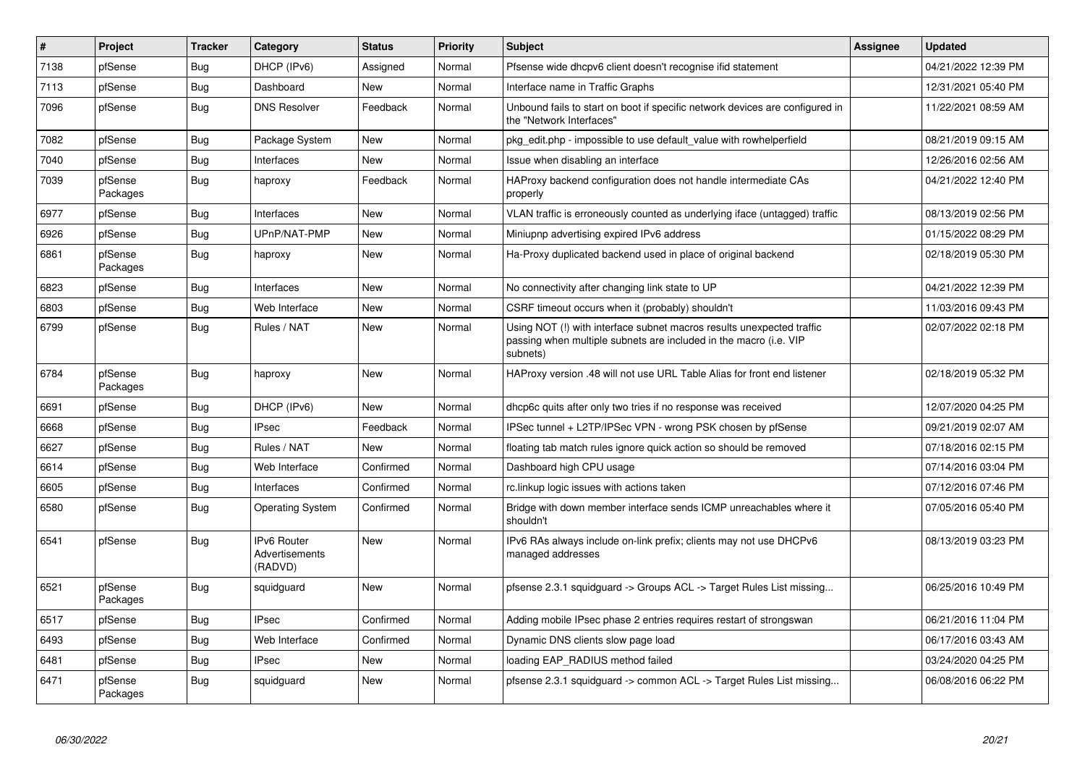| $\vert$ # | Project             | <b>Tracker</b> | Category                                 | <b>Status</b> | <b>Priority</b> | <b>Subject</b>                                                                                                                                         | <b>Assignee</b> | <b>Updated</b>      |
|-----------|---------------------|----------------|------------------------------------------|---------------|-----------------|--------------------------------------------------------------------------------------------------------------------------------------------------------|-----------------|---------------------|
| 7138      | pfSense             | <b>Bug</b>     | DHCP (IPv6)                              | Assigned      | Normal          | Pfsense wide dhcpv6 client doesn't recognise if id statement                                                                                           |                 | 04/21/2022 12:39 PM |
| 7113      | pfSense             | <b>Bug</b>     | Dashboard                                | New           | Normal          | Interface name in Traffic Graphs                                                                                                                       |                 | 12/31/2021 05:40 PM |
| 7096      | pfSense             | Bug            | <b>DNS Resolver</b>                      | Feedback      | Normal          | Unbound fails to start on boot if specific network devices are configured in<br>the "Network Interfaces"                                               |                 | 11/22/2021 08:59 AM |
| 7082      | pfSense             | Bug            | Package System                           | <b>New</b>    | Normal          | pkg edit.php - impossible to use default value with rowhelperfield                                                                                     |                 | 08/21/2019 09:15 AM |
| 7040      | pfSense             | Bug            | Interfaces                               | New           | Normal          | Issue when disabling an interface                                                                                                                      |                 | 12/26/2016 02:56 AM |
| 7039      | pfSense<br>Packages | Bug            | haproxy                                  | Feedback      | Normal          | HAProxy backend configuration does not handle intermediate CAs<br>properly                                                                             |                 | 04/21/2022 12:40 PM |
| 6977      | pfSense             | <b>Bug</b>     | Interfaces                               | <b>New</b>    | Normal          | VLAN traffic is erroneously counted as underlying iface (untagged) traffic                                                                             |                 | 08/13/2019 02:56 PM |
| 6926      | pfSense             | <b>Bug</b>     | UPnP/NAT-PMP                             | <b>New</b>    | Normal          | Miniupnp advertising expired IPv6 address                                                                                                              |                 | 01/15/2022 08:29 PM |
| 6861      | pfSense<br>Packages | <b>Bug</b>     | haproxy                                  | New           | Normal          | Ha-Proxy duplicated backend used in place of original backend                                                                                          |                 | 02/18/2019 05:30 PM |
| 6823      | pfSense             | <b>Bug</b>     | Interfaces                               | New           | Normal          | No connectivity after changing link state to UP                                                                                                        |                 | 04/21/2022 12:39 PM |
| 6803      | pfSense             | Bug            | Web Interface                            | <b>New</b>    | Normal          | CSRF timeout occurs when it (probably) shouldn't                                                                                                       |                 | 11/03/2016 09:43 PM |
| 6799      | pfSense             | <b>Bug</b>     | Rules / NAT                              | New           | Normal          | Using NOT (!) with interface subnet macros results unexpected traffic<br>passing when multiple subnets are included in the macro (i.e. VIP<br>subnets) |                 | 02/07/2022 02:18 PM |
| 6784      | pfSense<br>Packages | Bug            | haproxy                                  | New           | Normal          | HAProxy version .48 will not use URL Table Alias for front end listener                                                                                |                 | 02/18/2019 05:32 PM |
| 6691      | pfSense             | <b>Bug</b>     | DHCP (IPv6)                              | New           | Normal          | dhcp6c quits after only two tries if no response was received                                                                                          |                 | 12/07/2020 04:25 PM |
| 6668      | pfSense             | <b>Bug</b>     | <b>IPsec</b>                             | Feedback      | Normal          | IPSec tunnel + L2TP/IPSec VPN - wrong PSK chosen by pfSense                                                                                            |                 | 09/21/2019 02:07 AM |
| 6627      | pfSense             | Bug            | Rules / NAT                              | New           | Normal          | floating tab match rules ignore quick action so should be removed                                                                                      |                 | 07/18/2016 02:15 PM |
| 6614      | pfSense             | <b>Bug</b>     | Web Interface                            | Confirmed     | Normal          | Dashboard high CPU usage                                                                                                                               |                 | 07/14/2016 03:04 PM |
| 6605      | pfSense             | <b>Bug</b>     | Interfaces                               | Confirmed     | Normal          | rc.linkup logic issues with actions taken                                                                                                              |                 | 07/12/2016 07:46 PM |
| 6580      | pfSense             | <b>Bug</b>     | <b>Operating System</b>                  | Confirmed     | Normal          | Bridge with down member interface sends ICMP unreachables where it<br>shouldn't                                                                        |                 | 07/05/2016 05:40 PM |
| 6541      | pfSense             | Bug            | IPv6 Router<br>Advertisements<br>(RADVD) | New           | Normal          | IPv6 RAs always include on-link prefix; clients may not use DHCPv6<br>managed addresses                                                                |                 | 08/13/2019 03:23 PM |
| 6521      | pfSense<br>Packages | Bug            | squidguard                               | New           | Normal          | pfsense 2.3.1 squidguard -> Groups ACL -> Target Rules List missing                                                                                    |                 | 06/25/2016 10:49 PM |
| 6517      | pfSense             | <b>Bug</b>     | <b>IPsec</b>                             | Confirmed     | Normal          | Adding mobile IPsec phase 2 entries requires restart of strongswan                                                                                     |                 | 06/21/2016 11:04 PM |
| 6493      | pfSense             | Bug            | Web Interface                            | Confirmed     | Normal          | Dynamic DNS clients slow page load                                                                                                                     |                 | 06/17/2016 03:43 AM |
| 6481      | pfSense             | Bug            | <b>IPsec</b>                             | New           | Normal          | loading EAP_RADIUS method failed                                                                                                                       |                 | 03/24/2020 04:25 PM |
| 6471      | pfSense<br>Packages | Bug            | squidguard                               | <b>New</b>    | Normal          | pfsense 2.3.1 squidguard -> common ACL -> Target Rules List missing                                                                                    |                 | 06/08/2016 06:22 PM |